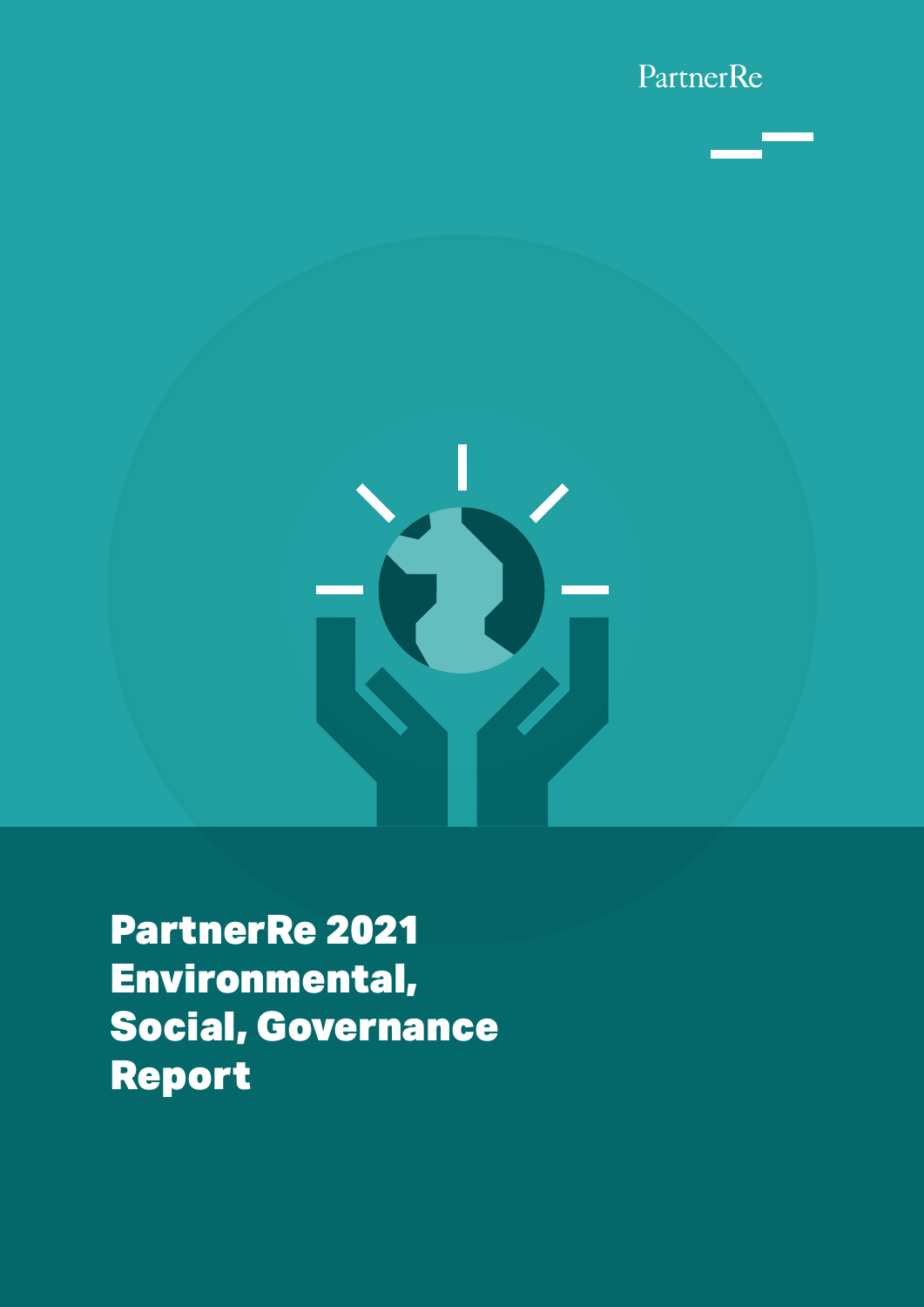



PartnerRe 2021 Environmental, Social, Governance Report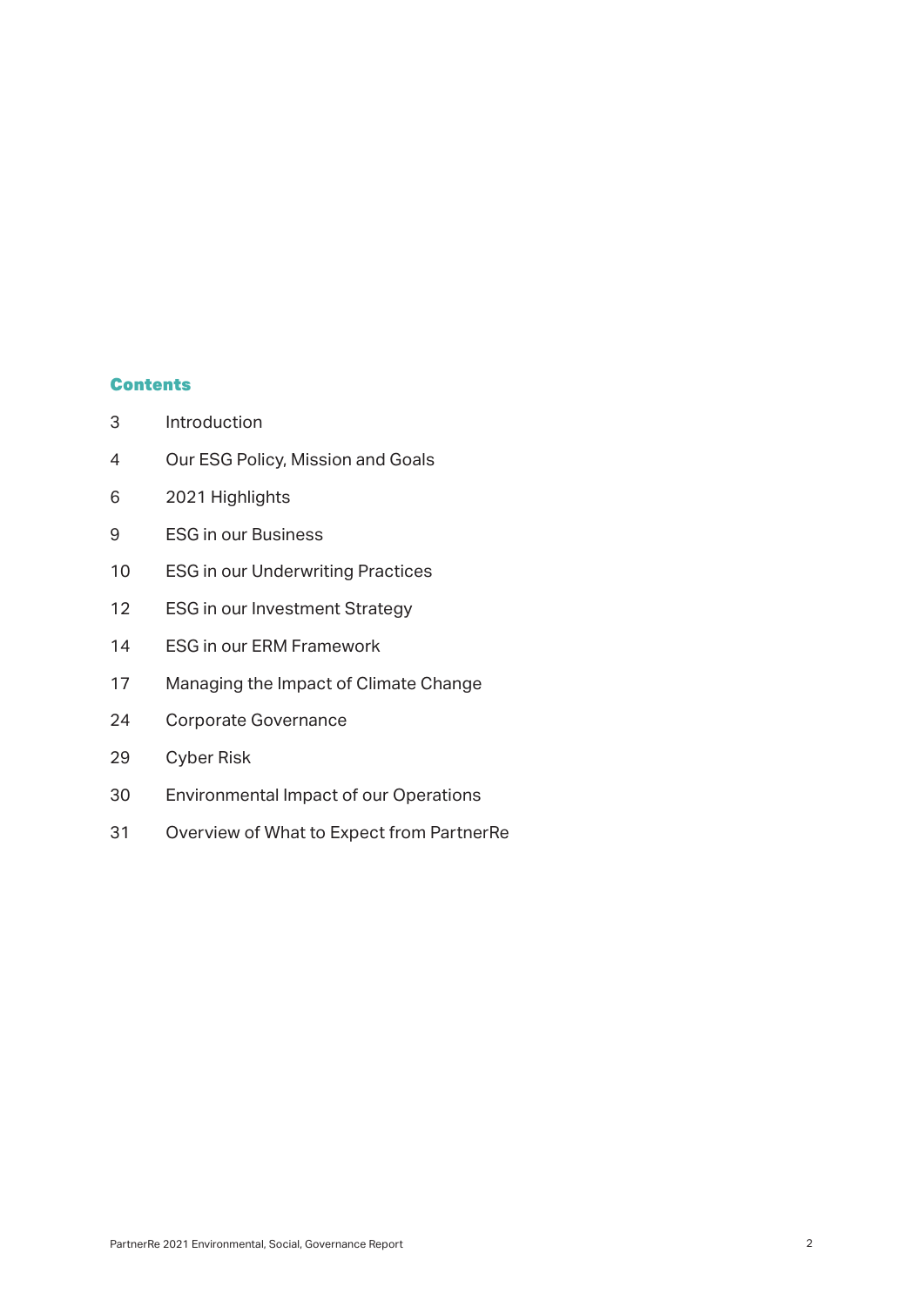### **Contents**

- Introduction
- Our ESG Policy, Mission and Goals
- 2021 Highlights
- ESG in our Business
- ESG in our Underwriting Practices
- 12 ESG in our Investment Strategy
- ESG in our ERM Framework
- Managing the Impact of Climate Change
- Corporate Governance
- Cyber Risk
- Environmental Impact of our Operations
- Overview of What to Expect from PartnerRe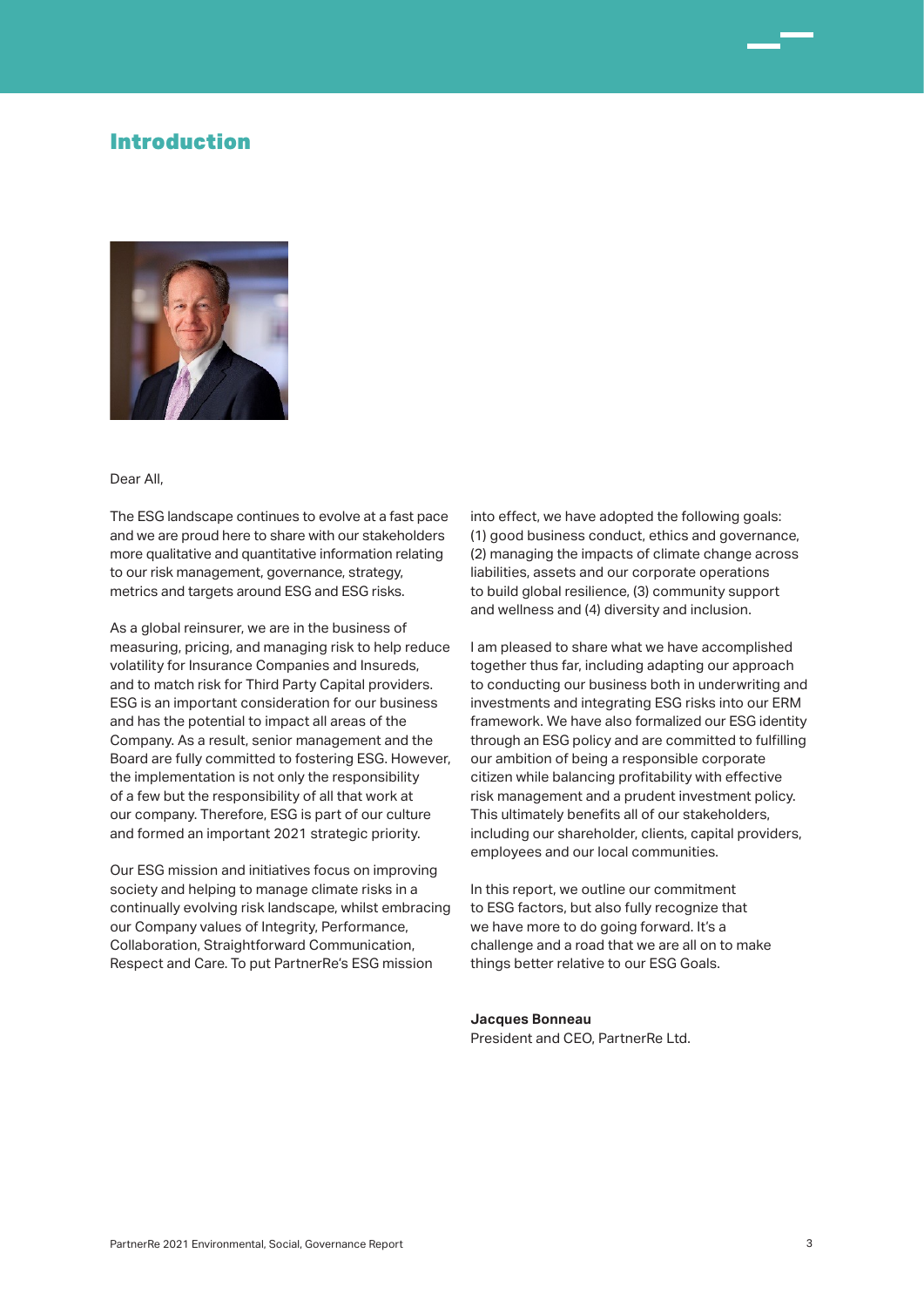### Introduction



#### Dear All,

The ESG landscape continues to evolve at a fast pace and we are proud here to share with our stakeholders more qualitative and quantitative information relating to our risk management, governance, strategy, metrics and targets around ESG and ESG risks.

As a global reinsurer, we are in the business of measuring, pricing, and managing risk to help reduce volatility for Insurance Companies and Insureds, and to match risk for Third Party Capital providers. ESG is an important consideration for our business and has the potential to impact all areas of the Company. As a result, senior management and the Board are fully committed to fostering ESG. However, the implementation is not only the responsibility of a few but the responsibility of all that work at our company. Therefore, ESG is part of our culture and formed an important 2021 strategic priority.

Our ESG mission and initiatives focus on improving society and helping to manage climate risks in a continually evolving risk landscape, whilst embracing our Company values of Integrity, Performance, Collaboration, Straightforward Communication, Respect and Care. To put PartnerRe's ESG mission

into effect, we have adopted the following goals: (1) good business conduct, ethics and governance, (2) managing the impacts of climate change across liabilities, assets and our corporate operations to build global resilience, (3) community support and wellness and (4) diversity and inclusion.

I am pleased to share what we have accomplished together thus far, including adapting our approach to conducting our business both in underwriting and investments and integrating ESG risks into our ERM framework. We have also formalized our ESG identity through an ESG policy and are committed to fulfilling our ambition of being a responsible corporate citizen while balancing profitability with effective risk management and a prudent investment policy. This ultimately benefits all of our stakeholders, including our shareholder, clients, capital providers, employees and our local communities.

In this report, we outline our commitment to ESG factors, but also fully recognize that we have more to do going forward. It's a challenge and a road that we are all on to make things better relative to our ESG Goals.

### **Jacques Bonneau** President and CFO, PartnerRe Ltd.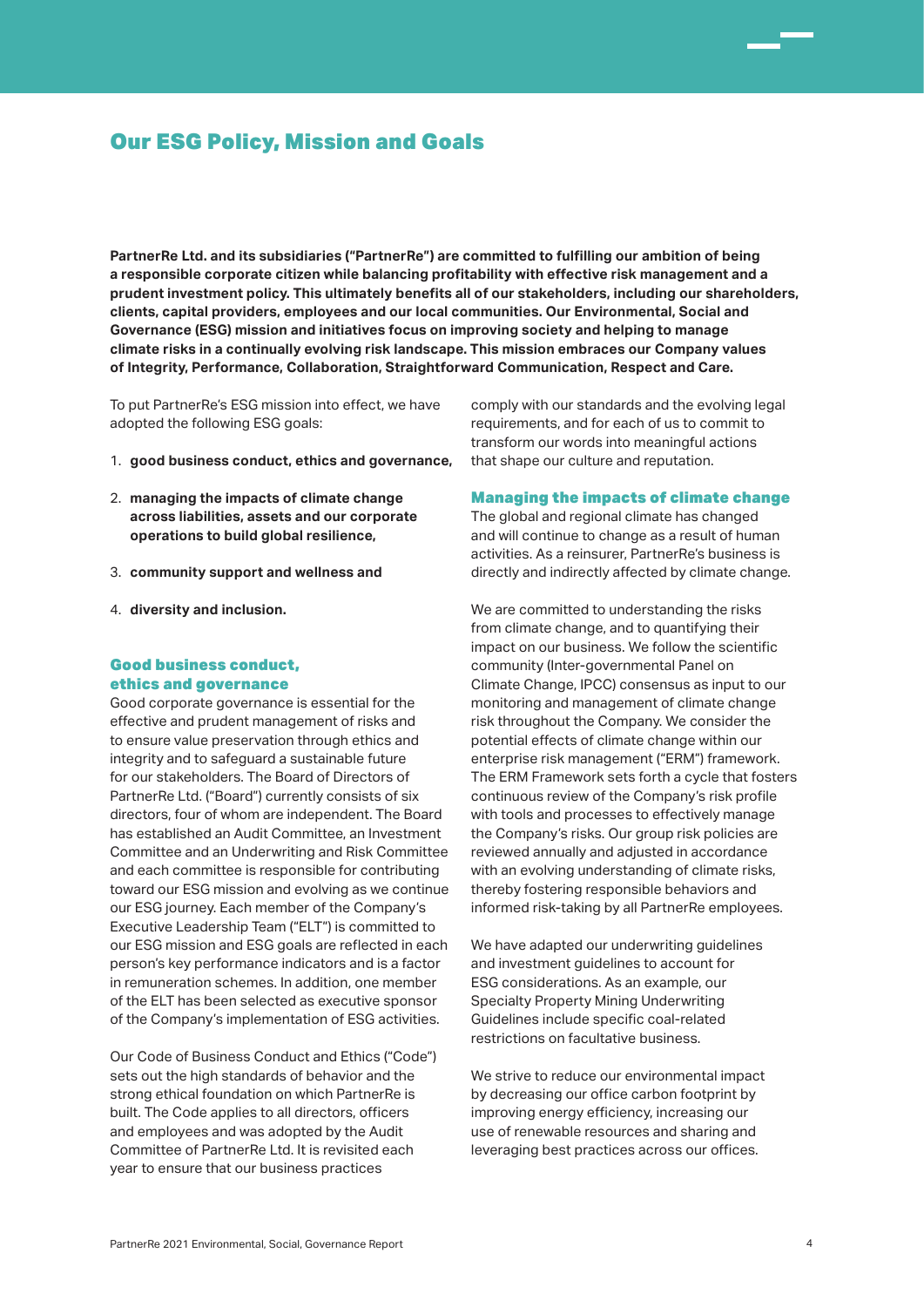# Our ESG Policy, Mission and Goals

**PartnerRe Ltd. and its subsidiaries ("PartnerRe") are committed to fulfilling our ambition of being a responsible corporate citizen while balancing profitability with effective risk management and a prudent investment policy. This ultimately benefits all of our stakeholders, including our shareholders, clients, capital providers, employees and our local communities. Our Environmental, Social and Governance (ESG) mission and initiatives focus on improving society and helping to manage climate risks in a continually evolving risk landscape. This mission embraces our Company values of Integrity, Performance, Collaboration, Straightforward Communication, Respect and Care.** 

To put PartnerRe's ESG mission into effect, we have adopted the following ESG goals:

- 1. **good business conduct, ethics and governance,**
- 2. **managing the impacts of climate change across liabilities, assets and our corporate operations to build global resilience,**
- 3. **community support and wellness and**
- 4. **diversity and inclusion.**

### Good business conduct, ethics and governance

Good corporate governance is essential for the effective and prudent management of risks and to ensure value preservation through ethics and integrity and to safeguard a sustainable future for our stakeholders. The Board of Directors of PartnerRe Ltd. ("Board") currently consists of six directors, four of whom are independent. The Board has established an Audit Committee, an Investment Committee and an Underwriting and Risk Committee and each committee is responsible for contributing toward our ESG mission and evolving as we continue our ESG journey. Each member of the Company's Executive Leadership Team ("ELT") is committed to our ESG mission and ESG goals are reflected in each person's key performance indicators and is a factor in remuneration schemes. In addition, one member of the ELT has been selected as executive sponsor of the Company's implementation of ESG activities.

Our Code of Business Conduct and Ethics ("Code") sets out the high standards of behavior and the strong ethical foundation on which PartnerRe is built. The Code applies to all directors, officers and employees and was adopted by the Audit Committee of PartnerRe Ltd. It is revisited each year to ensure that our business practices

comply with our standards and the evolving legal requirements, and for each of us to commit to transform our words into meaningful actions that shape our culture and reputation.

#### Managing the impacts of climate change

The global and regional climate has changed and will continue to change as a result of human activities. As a reinsurer, PartnerRe's business is directly and indirectly affected by climate change.

We are committed to understanding the risks from climate change, and to quantifying their impact on our business. We follow the scientific community (Inter-governmental Panel on Climate Change, IPCC) consensus as input to our monitoring and management of climate change risk throughout the Company. We consider the potential effects of climate change within our enterprise risk management ("ERM") framework. The ERM Framework sets forth a cycle that fosters continuous review of the Company's risk profile with tools and processes to effectively manage the Company's risks. Our group risk policies are reviewed annually and adjusted in accordance with an evolving understanding of climate risks, thereby fostering responsible behaviors and informed risk-taking by all PartnerRe employees.

We have adapted our underwriting quidelines and investment guidelines to account for ESG considerations. As an example, our Specialty Property Mining Underwriting Guidelines include specific coal-related restrictions on facultative business.

We strive to reduce our environmental impact by decreasing our office carbon footprint by improving energy efficiency, increasing our use of renewable resources and sharing and leveraging best practices across our offices.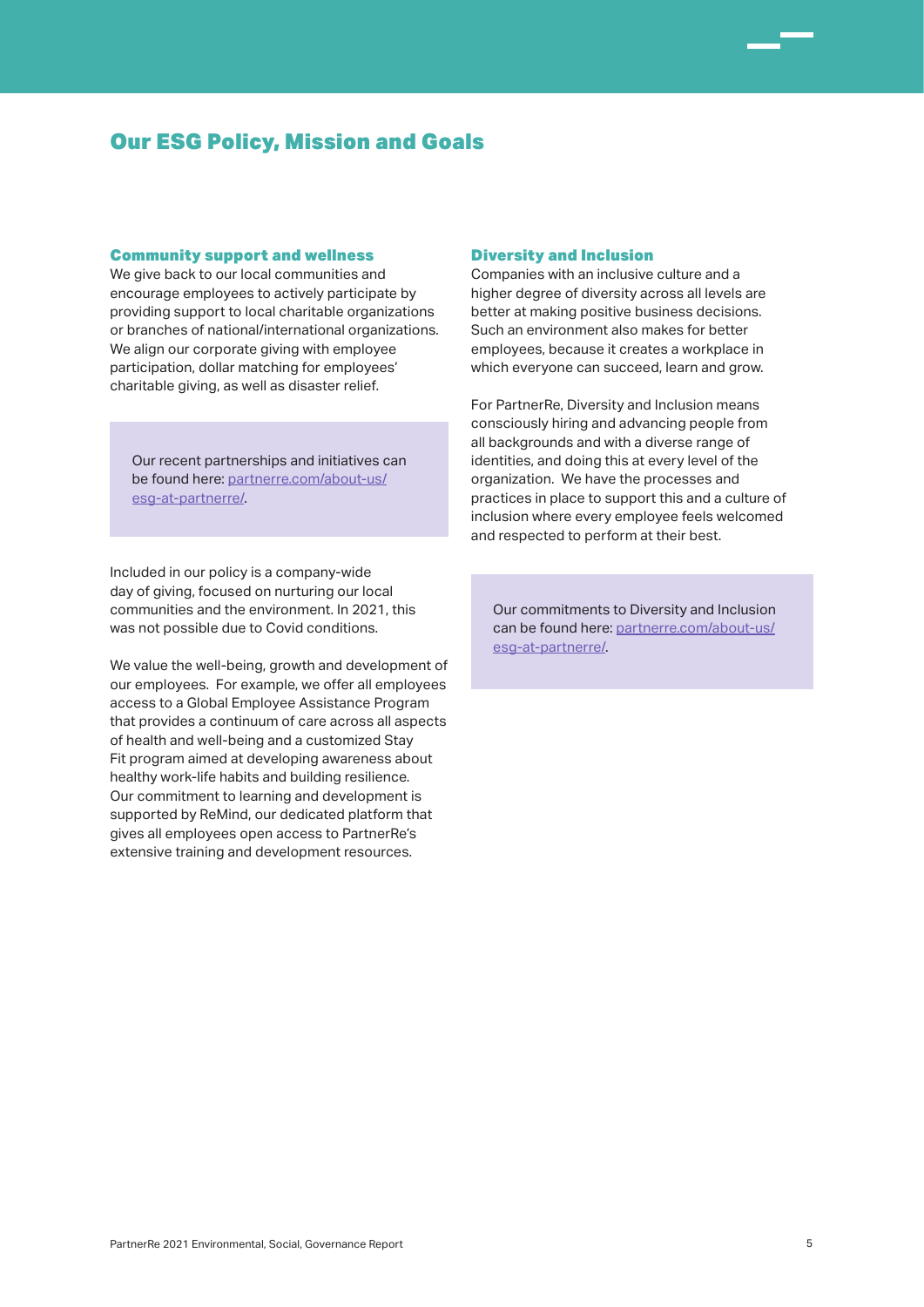# Our ESG Policy, Mission and Goals

### Community support and wellness

We give back to our local communities and encourage employees to actively participate by providing support to local charitable organizations or branches of national/international organizations. We align our corporate giving with employee participation, dollar matching for employees' charitable giving, as well as disaster relief.

Our recent partnerships and initiatives can be found here: partnerre.com/about-us/ esg-at-partnerre/.

Included in our policy is a company-wide day of giving, focused on nurturing our local communities and the environment. In 2021, this was not possible due to Covid conditions.

We value the well-being, growth and development of our employees. For example, we offer all employees access to a Global Employee Assistance Program that provides a continuum of care across all aspects of health and well-being and a customized Stay Fit program aimed at developing awareness about healthy work-life habits and building resilience. Our commitment to learning and development is supported by ReMind, our dedicated platform that gives all employees open access to PartnerRe's extensive training and development resources.

#### Diversity and Inclusion

Companies with an inclusive culture and a higher degree of diversity across all levels are better at making positive business decisions. Such an environment also makes for better employees, because it creates a workplace in which everyone can succeed, learn and grow.

For PartnerRe, Diversity and Inclusion means consciously hiring and advancing people from all backgrounds and with a diverse range of identities, and doing this at every level of the organization. We have the processes and practices in place to support this and a culture of inclusion where every employee feels welcomed and respected to perform at their best.

Our commitments to Diversity and Inclusion can be found here: partnerre.com/about-us/ esg-at-partnerre/.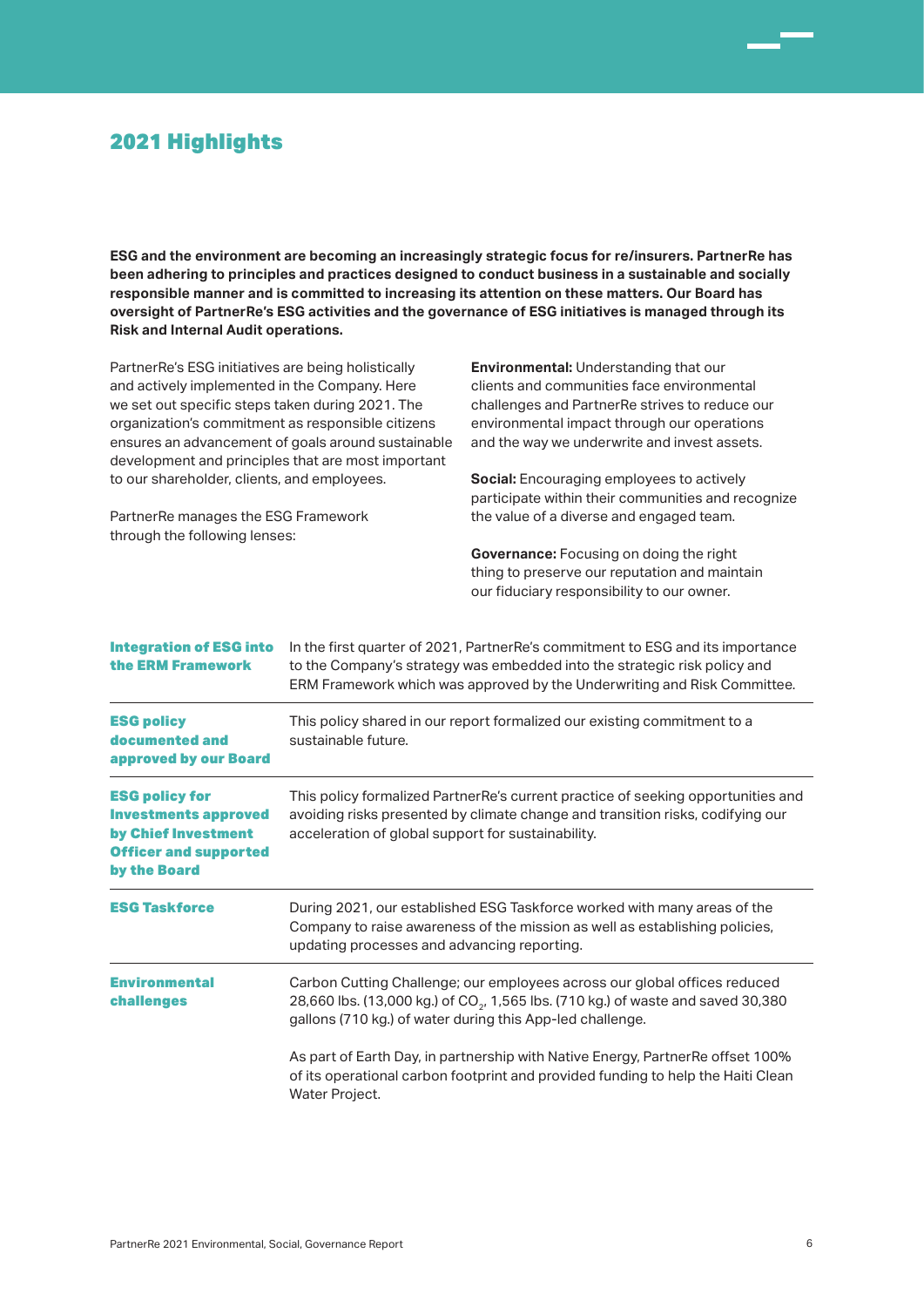# 2021 Highlights

**ESG and the environment are becoming an increasingly strategic focus for re/insurers. PartnerRe has been adhering to principles and practices designed to conduct business in a sustainable and socially responsible manner and is committed to increasing its attention on these matters. Our Board has oversight of PartnerRe's ESG activities and the governance of ESG initiatives is managed through its Risk and Internal Audit operations.**

PartnerRe's ESG initiatives are being holistically and actively implemented in the Company. Here we set out specific steps taken during 2021. The organization's commitment as responsible citizens ensures an advancement of goals around sustainable development and principles that are most important to our shareholder, clients, and employees.

PartnerRe manages the ESG Framework

through the following lenses:

**Environmental:** Understanding that our clients and communities face environmental challenges and PartnerRe strives to reduce our environmental impact through our operations and the way we underwrite and invest assets.

**Social:** Encouraging employees to actively participate within their communities and recognize the value of a diverse and engaged team.

**Governance:** Focusing on doing the right thing to preserve our reputation and maintain our fiduciary responsibility to our owner.

| <b>Integration of ESG into</b><br>the ERM Framework                                                                         | In the first quarter of 2021, Partner Re's commitment to ESG and its importance<br>to the Company's strategy was embedded into the strategic risk policy and<br>ERM Framework which was approved by the Underwriting and Risk Committee.<br>This policy shared in our report formalized our existing commitment to a<br>sustainable future.<br>This policy formalized PartnerRe's current practice of seeking opportunities and<br>avoiding risks presented by climate change and transition risks, codifying our<br>acceleration of global support for sustainability. |  |
|-----------------------------------------------------------------------------------------------------------------------------|-------------------------------------------------------------------------------------------------------------------------------------------------------------------------------------------------------------------------------------------------------------------------------------------------------------------------------------------------------------------------------------------------------------------------------------------------------------------------------------------------------------------------------------------------------------------------|--|
| <b>ESG policy</b><br>documented and<br>approved by our Board                                                                |                                                                                                                                                                                                                                                                                                                                                                                                                                                                                                                                                                         |  |
| <b>ESG policy for</b><br><b>Investments approved</b><br>by Chief Investment<br><b>Officer and supported</b><br>by the Board |                                                                                                                                                                                                                                                                                                                                                                                                                                                                                                                                                                         |  |
| <b>ESG Taskforce</b>                                                                                                        | During 2021, our established ESG Taskforce worked with many areas of the<br>Company to raise awareness of the mission as well as establishing policies,<br>updating processes and advancing reporting.                                                                                                                                                                                                                                                                                                                                                                  |  |
| <b>Environmental</b><br><b>challenges</b>                                                                                   | Carbon Cutting Challenge; our employees across our global offices reduced<br>28,660 lbs. (13,000 kg.) of CO <sub>2</sub> , 1,565 lbs. (710 kg.) of waste and saved 30,380<br>gallons (710 kg.) of water during this App-led challenge.                                                                                                                                                                                                                                                                                                                                  |  |
|                                                                                                                             | As part of Earth Day, in partnership with Native Energy, Partner Re offset 100%<br>of its operational carbon footprint and provided funding to help the Haiti Clean<br>Water Project.                                                                                                                                                                                                                                                                                                                                                                                   |  |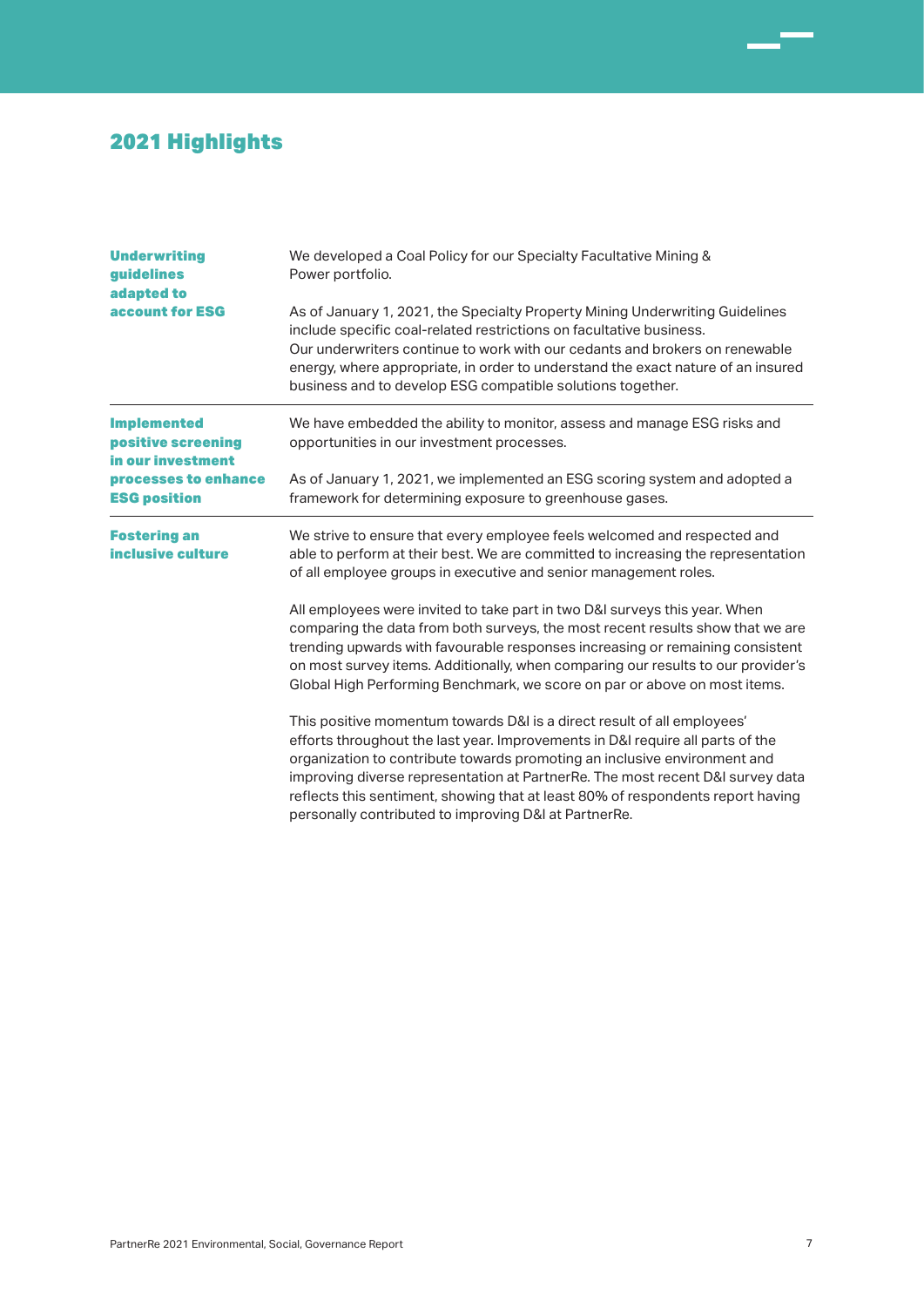# 2021 Highlights

| <b>Underwriting</b><br>guidelines<br>adapted to               | We developed a Coal Policy for our Specialty Facultative Mining &<br>Power portfolio.<br>As of January 1, 2021, the Specialty Property Mining Underwriting Guidelines<br>include specific coal-related restrictions on facultative business.<br>Our underwriters continue to work with our cedants and brokers on renewable<br>energy, where appropriate, in order to understand the exact nature of an insured<br>business and to develop ESG compatible solutions together. |  |
|---------------------------------------------------------------|-------------------------------------------------------------------------------------------------------------------------------------------------------------------------------------------------------------------------------------------------------------------------------------------------------------------------------------------------------------------------------------------------------------------------------------------------------------------------------|--|
| <b>account for ESG</b>                                        |                                                                                                                                                                                                                                                                                                                                                                                                                                                                               |  |
| <b>Implemented</b><br>positive screening<br>in our investment | We have embedded the ability to monitor, assess and manage ESG risks and<br>opportunities in our investment processes.                                                                                                                                                                                                                                                                                                                                                        |  |
| processes to enhance<br><b>ESG position</b>                   | As of January 1, 2021, we implemented an ESG scoring system and adopted a<br>framework for determining exposure to greenhouse gases.                                                                                                                                                                                                                                                                                                                                          |  |
| <b>Fostering an</b><br>inclusive culture                      | We strive to ensure that every employee feels welcomed and respected and<br>able to perform at their best. We are committed to increasing the representation<br>of all employee groups in executive and senior management roles.                                                                                                                                                                                                                                              |  |
|                                                               | All employees were invited to take part in two D&I surveys this year. When<br>comparing the data from both surveys, the most recent results show that we are<br>trending upwards with favourable responses increasing or remaining consistent<br>on most survey items. Additionally, when comparing our results to our provider's<br>Global High Performing Benchmark, we score on par or above on most items.                                                                |  |
|                                                               | This positive momentum towards D&I is a direct result of all employees'<br>efforts throughout the last year. Improvements in D&I require all parts of the<br>organization to contribute towards promoting an inclusive environment and<br>improving diverse representation at PartnerRe. The most recent D&I survey data<br>reflects this sentiment, showing that at least 80% of respondents report having<br>personally contributed to improving D&I at PartnerRe.          |  |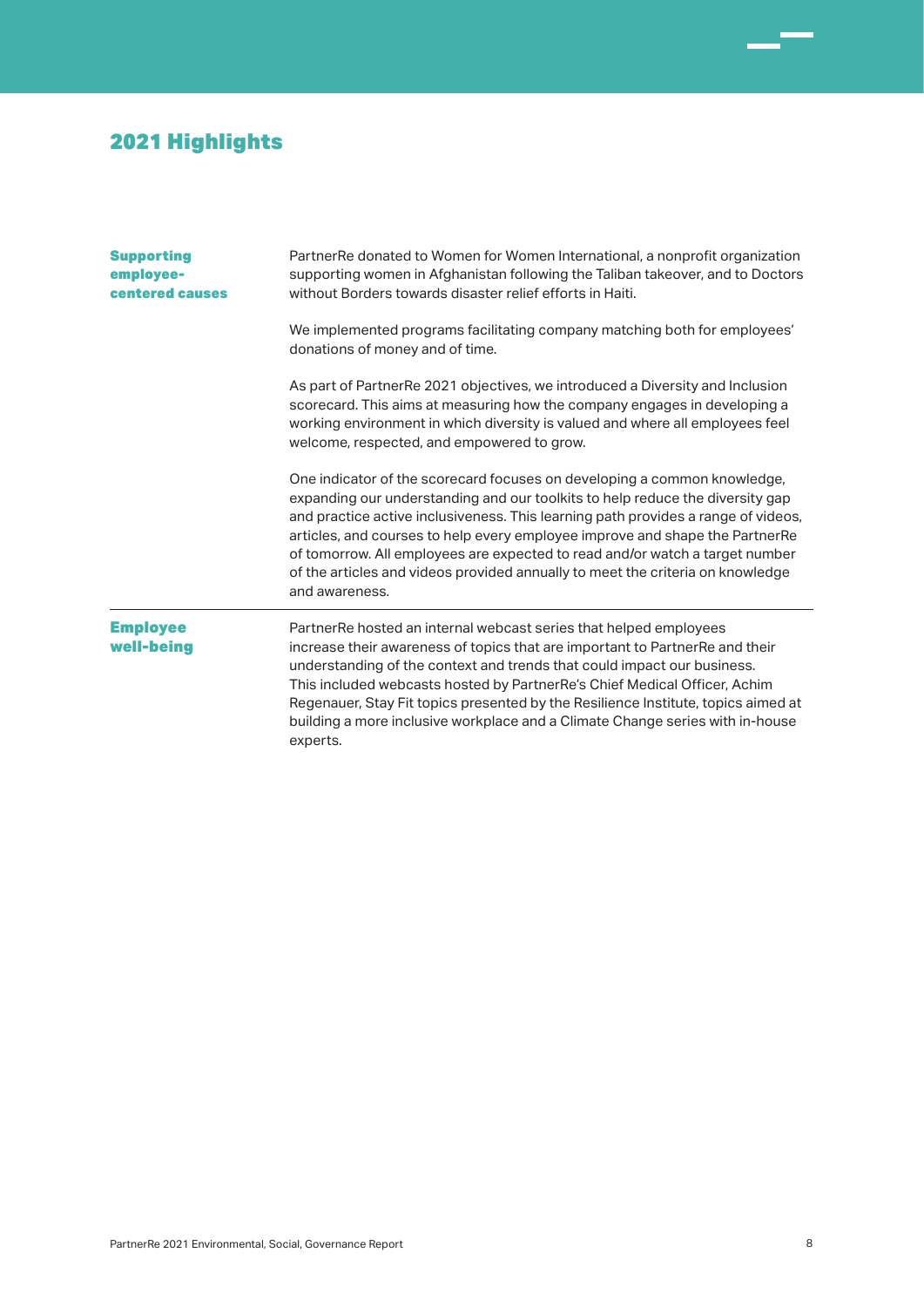# 2021 Highlights

| <b>Supporting</b><br>employee-<br>centered causes | Partner Re donated to Women for Women International, a nonprofit organization<br>supporting women in Afghanistan following the Taliban takeover, and to Doctors<br>without Borders towards disaster relief efforts in Haiti.                                                                                                                                                                                                                                                                                       |  |
|---------------------------------------------------|--------------------------------------------------------------------------------------------------------------------------------------------------------------------------------------------------------------------------------------------------------------------------------------------------------------------------------------------------------------------------------------------------------------------------------------------------------------------------------------------------------------------|--|
|                                                   | We implemented programs facilitating company matching both for employees'<br>donations of money and of time.                                                                                                                                                                                                                                                                                                                                                                                                       |  |
|                                                   | As part of Partner Re 2021 objectives, we introduced a Diversity and Inclusion<br>scorecard. This aims at measuring how the company engages in developing a<br>working environment in which diversity is valued and where all employees feel<br>welcome, respected, and empowered to grow.                                                                                                                                                                                                                         |  |
|                                                   | One indicator of the scorecard focuses on developing a common knowledge,<br>expanding our understanding and our toolkits to help reduce the diversity gap<br>and practice active inclusiveness. This learning path provides a range of videos,<br>articles, and courses to help every employee improve and shape the PartnerRe<br>of tomorrow. All employees are expected to read and/or watch a target number<br>of the articles and videos provided annually to meet the criteria on knowledge<br>and awareness. |  |
| <b>Employee</b><br>well-being                     | PartnerRe hosted an internal webcast series that helped employees<br>increase their awareness of topics that are important to PartnerRe and their<br>understanding of the context and trends that could impact our business.<br>This included webcasts hosted by PartnerRe's Chief Medical Officer, Achim<br>Regenauer, Stay Fit topics presented by the Resilience Institute, topics aimed at<br>building a more inclusive workplace and a Climate Change series with in-house<br>experts.                        |  |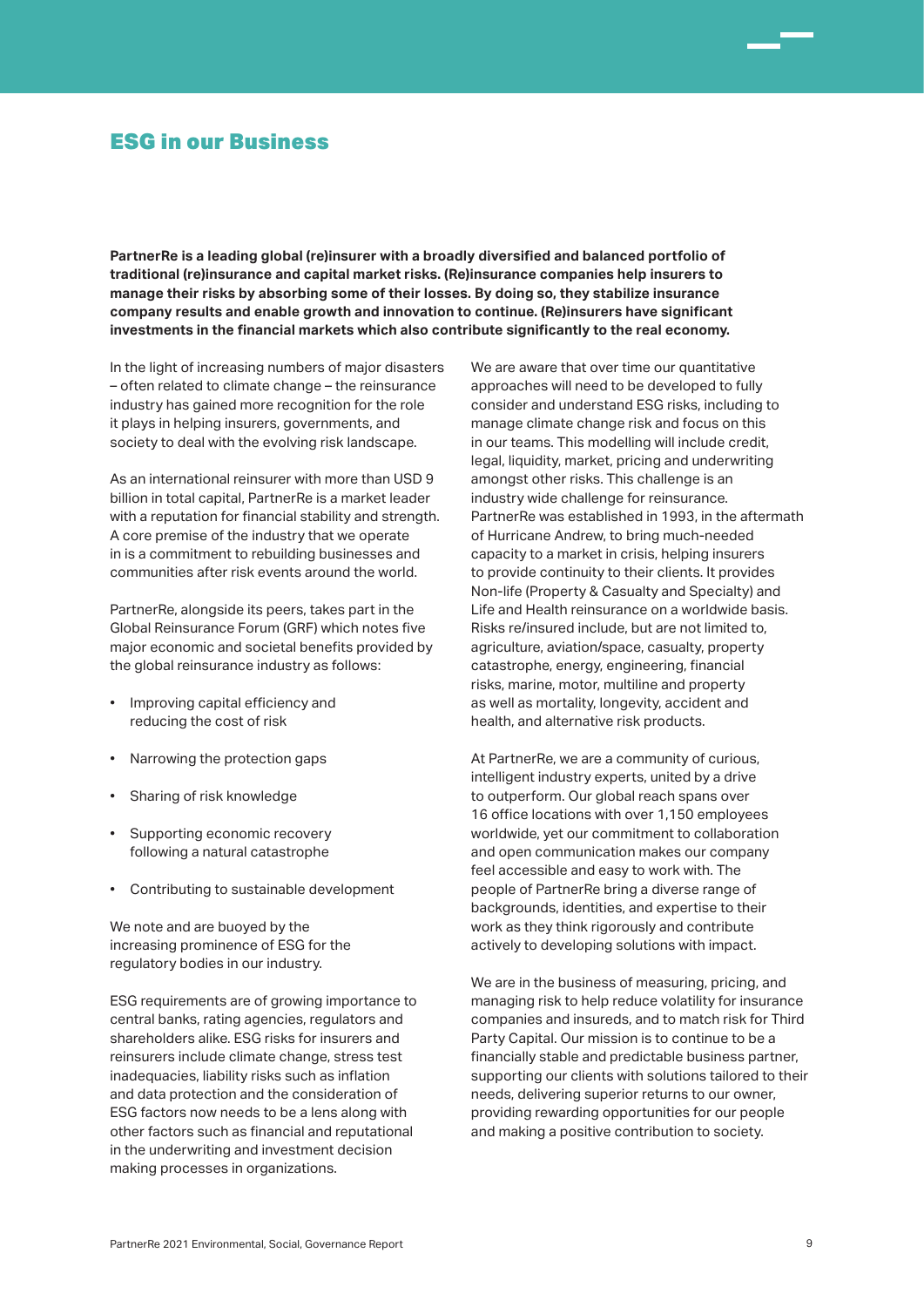### ESG in our Business

**PartnerRe is a leading global (re)insurer with a broadly diversified and balanced portfolio of traditional (re)insurance and capital market risks. (Re)insurance companies help insurers to manage their risks by absorbing some of their losses. By doing so, they stabilize insurance company results and enable growth and innovation to continue. (Re)insurers have significant investments in the financial markets which also contribute significantly to the real economy.** 

In the light of increasing numbers of major disasters – often related to climate change – the reinsurance industry has gained more recognition for the role it plays in helping insurers, governments, and society to deal with the evolving risk landscape.

As an international reinsurer with more than USD 9 billion in total capital, PartnerRe is a market leader with a reputation for financial stability and strength. A core premise of the industry that we operate in is a commitment to rebuilding businesses and communities after risk events around the world.

PartnerRe, alongside its peers, takes part in the Global Reinsurance Forum (GRF) which notes five major economic and societal benefits provided by the global reinsurance industry as follows:

- Improving capital efficiency and reducing the cost of risk
- Narrowing the protection gaps
- Sharing of risk knowledge
- Supporting economic recovery following a natural catastrophe
- Contributing to sustainable development

We note and are buoyed by the increasing prominence of ESG for the regulatory bodies in our industry.

ESG requirements are of growing importance to central banks, rating agencies, regulators and shareholders alike. ESG risks for insurers and reinsurers include climate change, stress test inadequacies, liability risks such as inflation and data protection and the consideration of ESG factors now needs to be a lens along with other factors such as financial and reputational in the underwriting and investment decision making processes in organizations.

We are aware that over time our quantitative approaches will need to be developed to fully consider and understand ESG risks, including to manage climate change risk and focus on this in our teams. This modelling will include credit, legal, liquidity, market, pricing and underwriting amongst other risks. This challenge is an industry wide challenge for reinsurance. PartnerRe was established in 1993, in the aftermath of Hurricane Andrew, to bring much-needed capacity to a market in crisis, helping insurers to provide continuity to their clients. It provides Non-life (Property & Casualty and Specialty) and Life and Health reinsurance on a worldwide basis. Risks re/insured include, but are not limited to, agriculture, aviation/space, casualty, property catastrophe, energy, engineering, financial risks, marine, motor, multiline and property as well as mortality, longevity, accident and health, and alternative risk products.

At PartnerRe, we are a community of curious, intelligent industry experts, united by a drive to outperform. Our global reach spans over 16 office locations with over 1,150 employees worldwide, yet our commitment to collaboration and open communication makes our company feel accessible and easy to work with. The people of PartnerRe bring a diverse range of backgrounds, identities, and expertise to their work as they think rigorously and contribute actively to developing solutions with impact.

We are in the business of measuring, pricing, and managing risk to help reduce volatility for insurance companies and insureds, and to match risk for Third Party Capital. Our mission is to continue to be a financially stable and predictable business partner, supporting our clients with solutions tailored to their needs, delivering superior returns to our owner, providing rewarding opportunities for our people and making a positive contribution to society.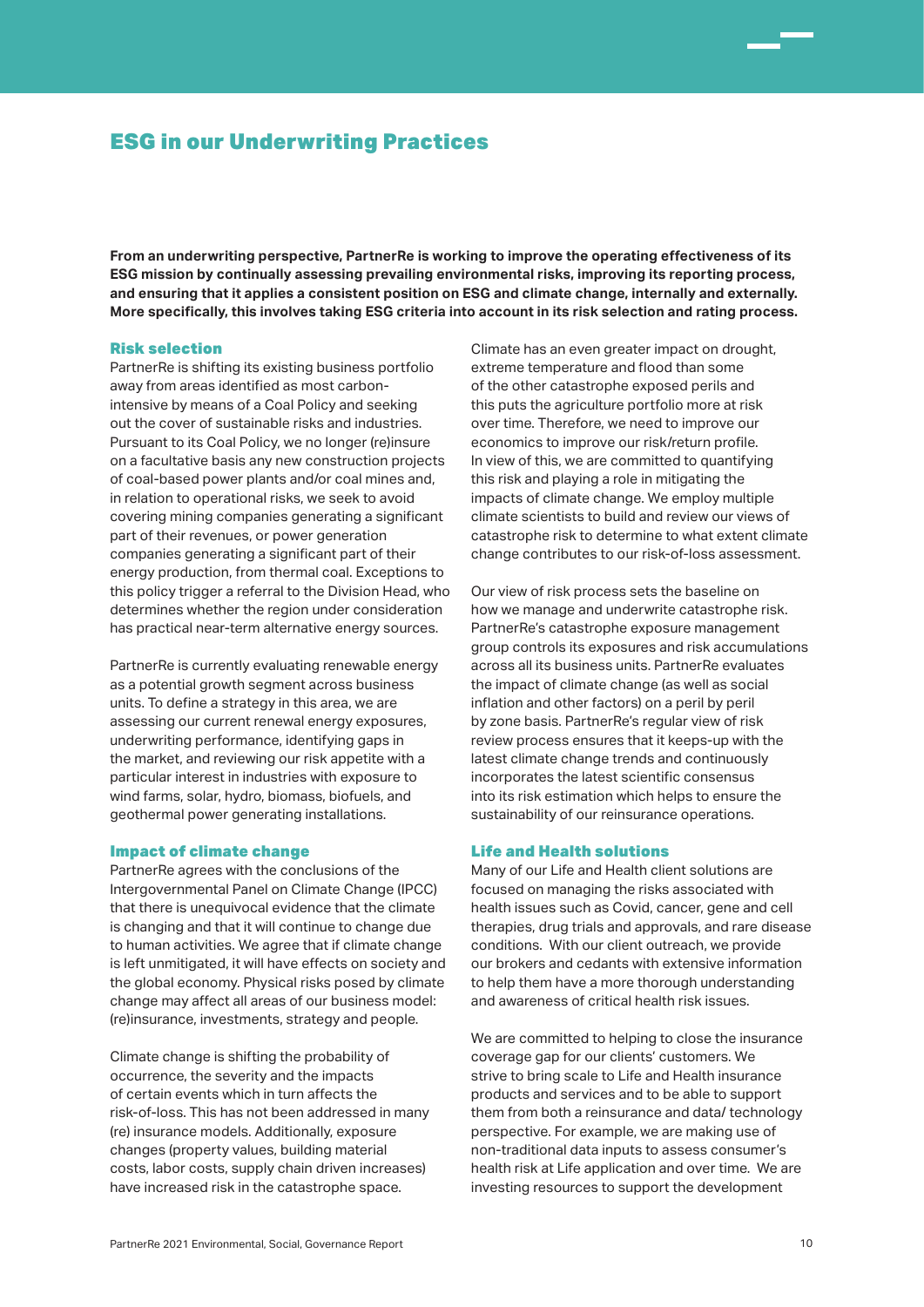### ESG in our Underwriting Practices

**From an underwriting perspective, PartnerRe is working to improve the operating effectiveness of its ESG mission by continually assessing prevailing environmental risks, improving its reporting process, and ensuring that it applies a consistent position on ESG and climate change, internally and externally. More specifically, this involves taking ESG criteria into account in its risk selection and rating process.**

### Risk selection

PartnerRe is shifting its existing business portfolio away from areas identified as most carbonintensive by means of a Coal Policy and seeking out the cover of sustainable risks and industries. Pursuant to its Coal Policy, we no longer (re)insure on a facultative basis any new construction projects of coal-based power plants and/or coal mines and, in relation to operational risks, we seek to avoid covering mining companies generating a significant part of their revenues, or power generation companies generating a significant part of their energy production, from thermal coal. Exceptions to this policy trigger a referral to the Division Head, who determines whether the region under consideration has practical near-term alternative energy sources.

PartnerRe is currently evaluating renewable energy as a potential growth segment across business units. To define a strategy in this area, we are assessing our current renewal energy exposures, underwriting performance, identifying gaps in the market, and reviewing our risk appetite with a particular interest in industries with exposure to wind farms, solar, hydro, biomass, biofuels, and geothermal power generating installations.

#### Impact of climate change

PartnerRe agrees with the conclusions of the Intergovernmental Panel on Climate Change (IPCC) that there is unequivocal evidence that the climate is changing and that it will continue to change due to human activities. We agree that if climate change is left unmitigated, it will have effects on society and the global economy. Physical risks posed by climate change may affect all areas of our business model: (re)insurance, investments, strategy and people.

Climate change is shifting the probability of occurrence, the severity and the impacts of certain events which in turn affects the risk-of-loss. This has not been addressed in many (re) insurance models. Additionally, exposure changes (property values, building material costs, labor costs, supply chain driven increases) have increased risk in the catastrophe space.

Climate has an even greater impact on drought, extreme temperature and flood than some of the other catastrophe exposed perils and this puts the agriculture portfolio more at risk over time. Therefore, we need to improve our economics to improve our risk/return profile. In view of this, we are committed to quantifying this risk and playing a role in mitigating the impacts of climate change. We employ multiple climate scientists to build and review our views of catastrophe risk to determine to what extent climate change contributes to our risk-of-loss assessment.

Our view of risk process sets the baseline on how we manage and underwrite catastrophe risk. PartnerRe's catastrophe exposure management group controls its exposures and risk accumulations across all its business units. PartnerRe evaluates the impact of climate change (as well as social inflation and other factors) on a peril by peril by zone basis. PartnerRe's regular view of risk review process ensures that it keeps-up with the latest climate change trends and continuously incorporates the latest scientific consensus into its risk estimation which helps to ensure the sustainability of our reinsurance operations.

### Life and Health solutions

Many of our Life and Health client solutions are focused on managing the risks associated with health issues such as Covid, cancer, gene and cell therapies, drug trials and approvals, and rare disease conditions. With our client outreach, we provide our brokers and cedants with extensive information to help them have a more thorough understanding and awareness of critical health risk issues.

We are committed to helping to close the insurance coverage gap for our clients' customers. We strive to bring scale to Life and Health insurance products and services and to be able to support them from both a reinsurance and data/ technology perspective. For example, we are making use of non-traditional data inputs to assess consumer's health risk at Life application and over time. We are investing resources to support the development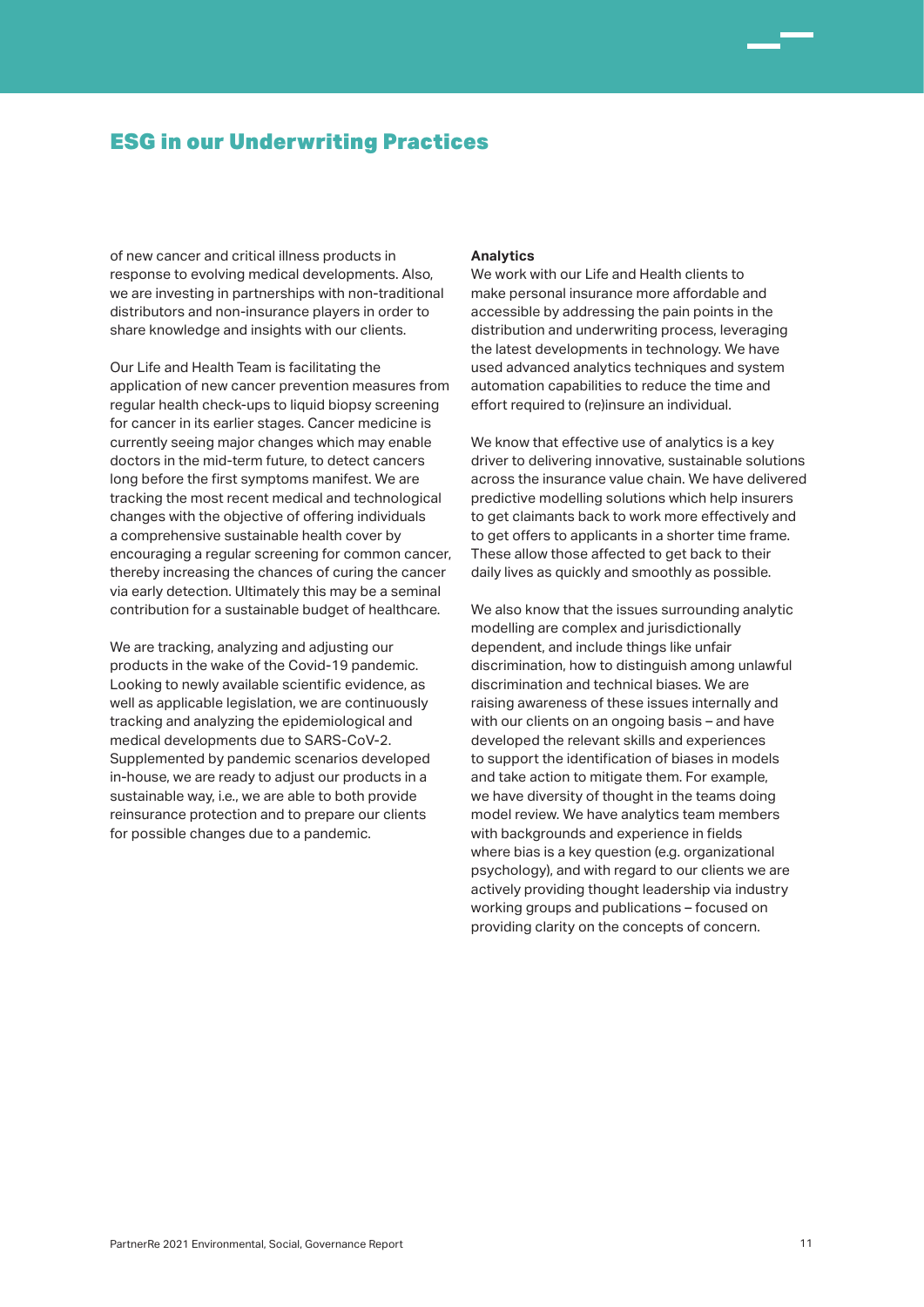### ESG in our Underwriting Practices

of new cancer and critical illness products in response to evolving medical developments. Also, we are investing in partnerships with non-traditional distributors and non-insurance players in order to share knowledge and insights with our clients.

Our Life and Health Team is facilitating the application of new cancer prevention measures from regular health check-ups to liquid biopsy screening for cancer in its earlier stages. Cancer medicine is currently seeing major changes which may enable doctors in the mid-term future, to detect cancers long before the first symptoms manifest. We are tracking the most recent medical and technological changes with the objective of offering individuals a comprehensive sustainable health cover by encouraging a regular screening for common cancer, thereby increasing the chances of curing the cancer via early detection. Ultimately this may be a seminal contribution for a sustainable budget of healthcare.

We are tracking, analyzing and adjusting our products in the wake of the Covid-19 pandemic. Looking to newly available scientific evidence, as well as applicable legislation, we are continuously tracking and analyzing the epidemiological and medical developments due to SARS-CoV-2. Supplemented by pandemic scenarios developed in-house, we are ready to adjust our products in a sustainable way, i.e., we are able to both provide reinsurance protection and to prepare our clients for possible changes due to a pandemic.

### **Analytics**

We work with our Life and Health clients to make personal insurance more affordable and accessible by addressing the pain points in the distribution and underwriting process, leveraging the latest developments in technology. We have used advanced analytics techniques and system automation capabilities to reduce the time and effort required to (re)insure an individual.

We know that effective use of analytics is a key driver to delivering innovative, sustainable solutions across the insurance value chain. We have delivered predictive modelling solutions which help insurers to get claimants back to work more effectively and to get offers to applicants in a shorter time frame. These allow those affected to get back to their daily lives as quickly and smoothly as possible.

We also know that the issues surrounding analytic modelling are complex and jurisdictionally dependent, and include things like unfair discrimination, how to distinguish among unlawful discrimination and technical biases. We are raising awareness of these issues internally and with our clients on an ongoing basis – and have developed the relevant skills and experiences to support the identification of biases in models and take action to mitigate them. For example, we have diversity of thought in the teams doing model review. We have analytics team members with backgrounds and experience in fields where bias is a key question (e.g. organizational psychology), and with regard to our clients we are actively providing thought leadership via industry working groups and publications – focused on providing clarity on the concepts of concern.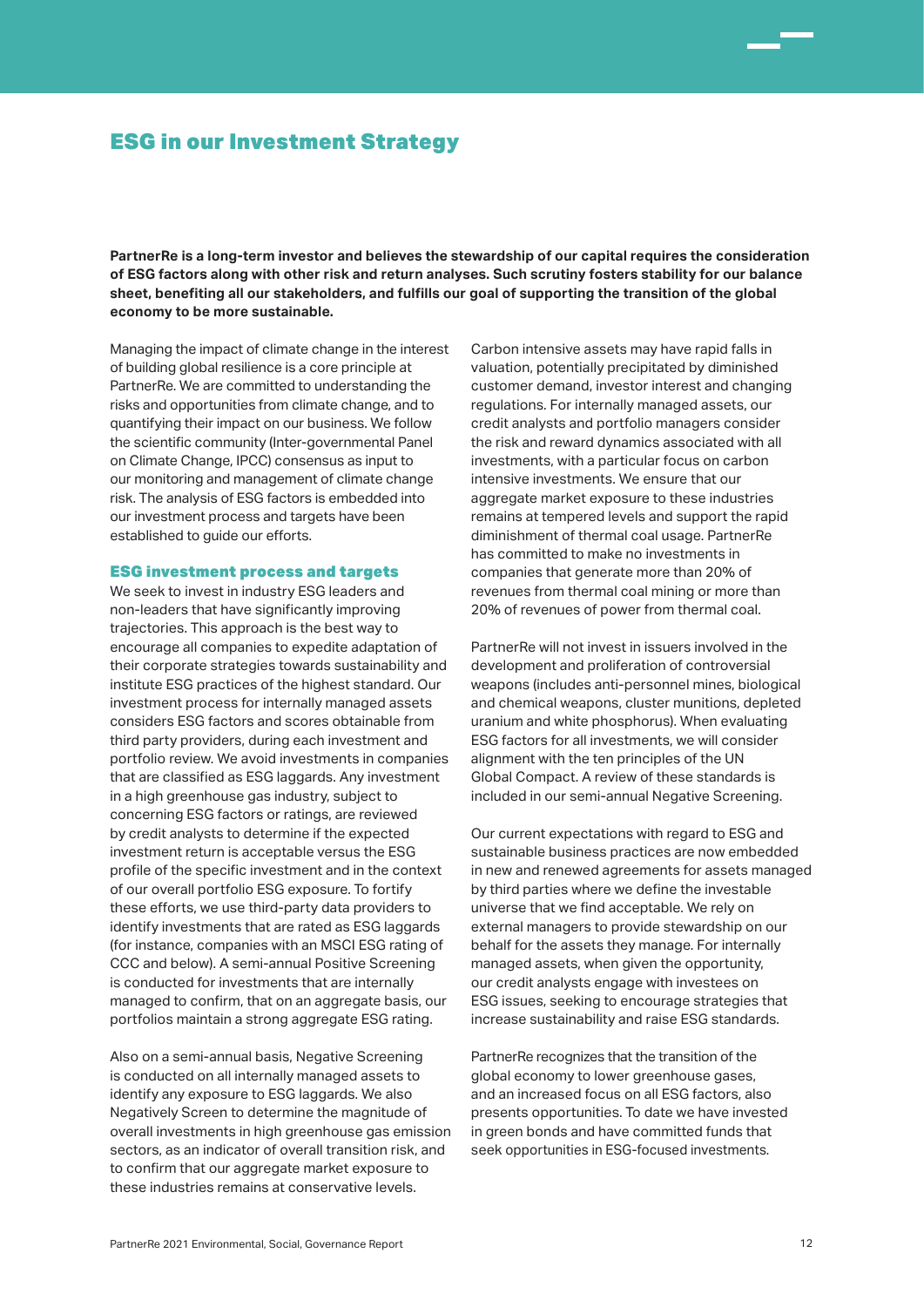### ESG in our Investment Strategy

**PartnerRe is a long-term investor and believes the stewardship of our capital requires the consideration of ESG factors along with other risk and return analyses. Such scrutiny fosters stability for our balance sheet, benefiting all our stakeholders, and fulfills our goal of supporting the transition of the global economy to be more sustainable.** 

Managing the impact of climate change in the interest of building global resilience is a core principle at PartnerRe. We are committed to understanding the risks and opportunities from climate change, and to quantifying their impact on our business. We follow the scientific community (Inter-governmental Panel on Climate Change, IPCC) consensus as input to our monitoring and management of climate change risk. The analysis of ESG factors is embedded into our investment process and targets have been established to guide our efforts.

### ESG investment process and targets

We seek to invest in industry ESG leaders and non-leaders that have significantly improving trajectories. This approach is the best way to encourage all companies to expedite adaptation of their corporate strategies towards sustainability and institute ESG practices of the highest standard. Our investment process for internally managed assets considers ESG factors and scores obtainable from third party providers, during each investment and portfolio review. We avoid investments in companies that are classified as ESG laggards. Any investment in a high greenhouse gas industry, subject to concerning ESG factors or ratings, are reviewed by credit analysts to determine if the expected investment return is acceptable versus the ESG profile of the specific investment and in the context of our overall portfolio ESG exposure. To fortify these efforts, we use third-party data providers to identify investments that are rated as ESG laggards (for instance, companies with an MSCI ESG rating of CCC and below). A semi-annual Positive Screening is conducted for investments that are internally managed to confirm, that on an aggregate basis, our portfolios maintain a strong aggregate ESG rating.

Also on a semi-annual basis, Negative Screening is conducted on all internally managed assets to identify any exposure to ESG laggards. We also Negatively Screen to determine the magnitude of overall investments in high greenhouse gas emission sectors, as an indicator of overall transition risk, and to confirm that our aggregate market exposure to these industries remains at conservative levels.

Carbon intensive assets may have rapid falls in valuation, potentially precipitated by diminished customer demand, investor interest and changing regulations. For internally managed assets, our credit analysts and portfolio managers consider the risk and reward dynamics associated with all investments, with a particular focus on carbon intensive investments. We ensure that our aggregate market exposure to these industries remains at tempered levels and support the rapid diminishment of thermal coal usage. PartnerRe has committed to make no investments in companies that generate more than 20% of revenues from thermal coal mining or more than 20% of revenues of power from thermal coal.

PartnerRe will not invest in issuers involved in the development and proliferation of controversial weapons (includes anti-personnel mines, biological and chemical weapons, cluster munitions, depleted uranium and white phosphorus). When evaluating ESG factors for all investments, we will consider alignment with the ten principles of the UN Global Compact. A review of these standards is included in our semi-annual Negative Screening.

Our current expectations with regard to ESG and sustainable business practices are now embedded in new and renewed agreements for assets managed by third parties where we define the investable universe that we find acceptable. We rely on external managers to provide stewardship on our behalf for the assets they manage. For internally managed assets, when given the opportunity, our credit analysts engage with investees on ESG issues, seeking to encourage strategies that increase sustainability and raise ESG standards.

PartnerRe recognizes that the transition of the global economy to lower greenhouse gases, and an increased focus on all ESG factors, also presents opportunities. To date we have invested in green bonds and have committed funds that seek opportunities in ESG-focused investments.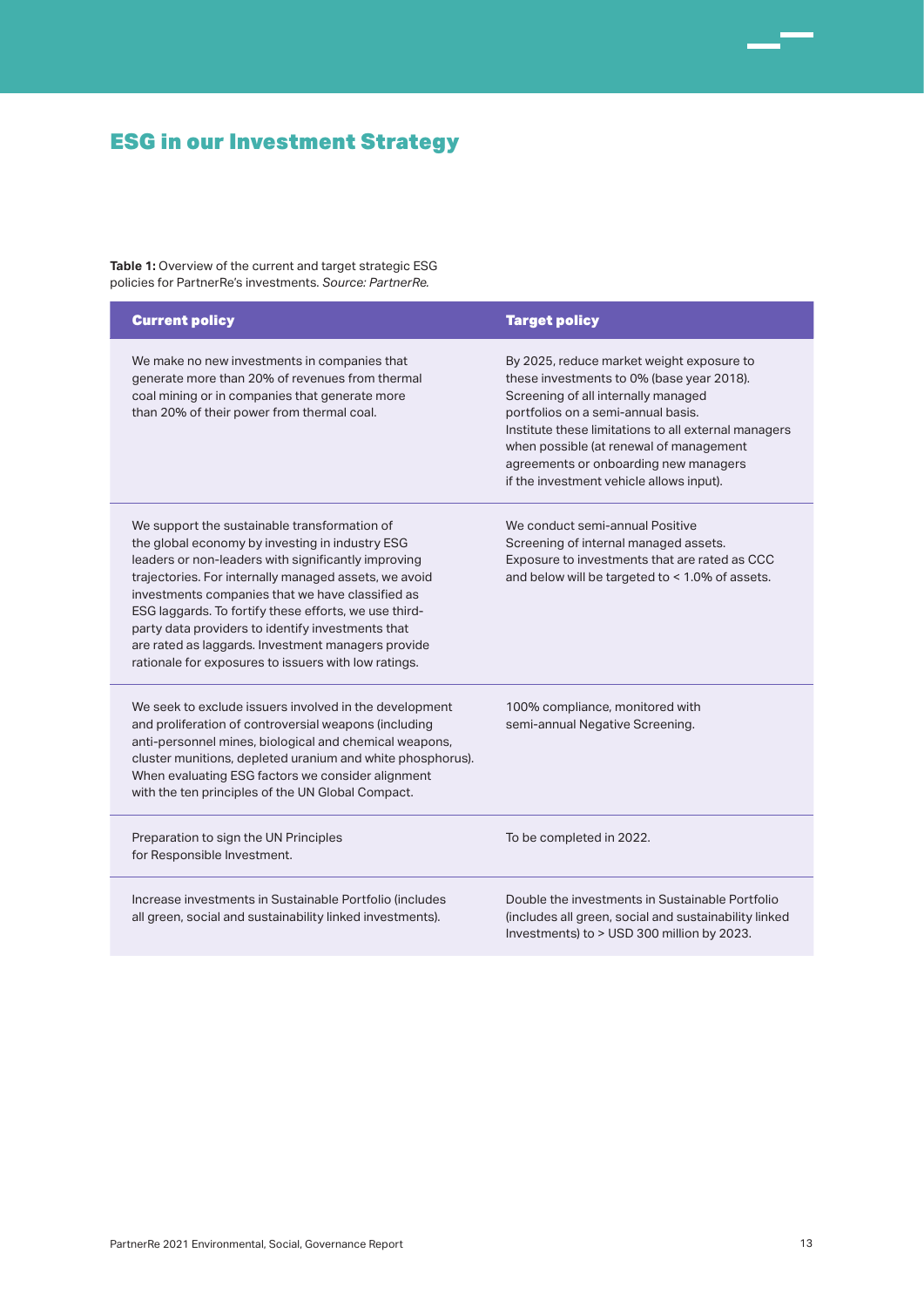# ESG in our Investment Strategy

**Table 1:** Overview of the current and target strategic ESG policies for PartnerRe's investments. *Source: PartnerRe.* 

| <b>Current policy</b>                                                                                                                                                                                                                                                                                                                                                                                                                                                                           | <b>Target policy</b>                                                                                                                                                                                                                                                                                                                                        |
|-------------------------------------------------------------------------------------------------------------------------------------------------------------------------------------------------------------------------------------------------------------------------------------------------------------------------------------------------------------------------------------------------------------------------------------------------------------------------------------------------|-------------------------------------------------------------------------------------------------------------------------------------------------------------------------------------------------------------------------------------------------------------------------------------------------------------------------------------------------------------|
| We make no new investments in companies that<br>generate more than 20% of revenues from thermal<br>coal mining or in companies that generate more<br>than 20% of their power from thermal coal.                                                                                                                                                                                                                                                                                                 | By 2025, reduce market weight exposure to<br>these investments to 0% (base year 2018).<br>Screening of all internally managed<br>portfolios on a semi-annual basis.<br>Institute these limitations to all external managers<br>when possible (at renewal of management<br>agreements or onboarding new managers<br>if the investment vehicle allows input). |
| We support the sustainable transformation of<br>the global economy by investing in industry ESG<br>leaders or non-leaders with significantly improving<br>trajectories. For internally managed assets, we avoid<br>investments companies that we have classified as<br>ESG laggards. To fortify these efforts, we use third-<br>party data providers to identify investments that<br>are rated as laggards. Investment managers provide<br>rationale for exposures to issuers with low ratings. | We conduct semi-annual Positive<br>Screening of internal managed assets.<br>Exposure to investments that are rated as CCC<br>and below will be targeted to < 1.0% of assets.                                                                                                                                                                                |
| We seek to exclude issuers involved in the development<br>and proliferation of controversial weapons (including<br>anti-personnel mines, biological and chemical weapons,<br>cluster munitions, depleted uranium and white phosphorus).<br>When evaluating ESG factors we consider alignment<br>with the ten principles of the UN Global Compact.                                                                                                                                               | 100% compliance, monitored with<br>semi-annual Negative Screening.                                                                                                                                                                                                                                                                                          |
| Preparation to sign the UN Principles<br>for Responsible Investment.                                                                                                                                                                                                                                                                                                                                                                                                                            | To be completed in 2022.                                                                                                                                                                                                                                                                                                                                    |
| Increase investments in Sustainable Portfolio (includes<br>all green, social and sustainability linked investments).                                                                                                                                                                                                                                                                                                                                                                            | Double the investments in Sustainable Portfolio<br>(includes all green, social and sustainability linked<br>Investments) to > USD 300 million by 2023.                                                                                                                                                                                                      |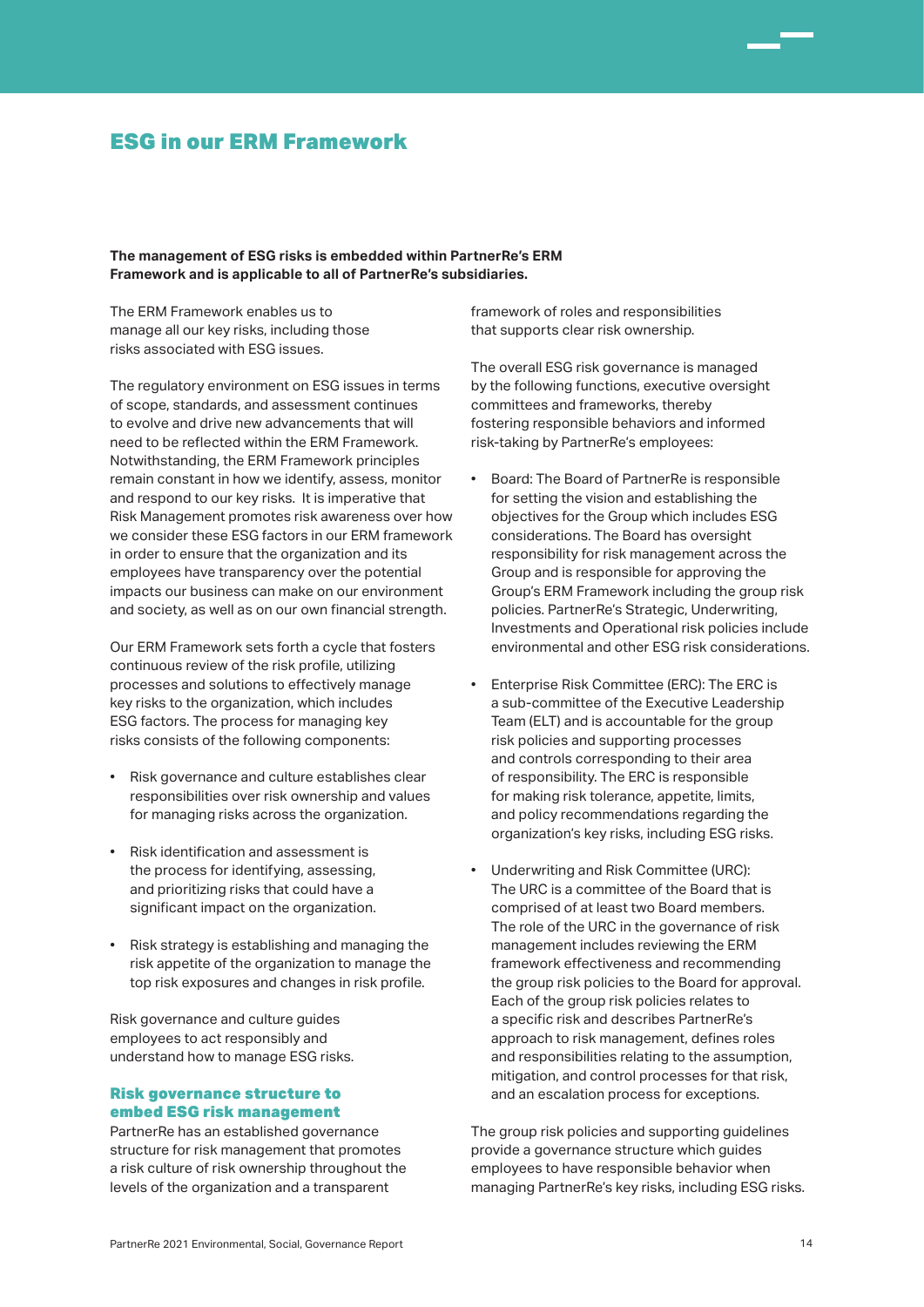### ESG in our ERM Framework

**The management of ESG risks is embedded within PartnerRe's ERM Framework and is applicable to all of PartnerRe's subsidiaries.**

The ERM Framework enables us to manage all our key risks, including those risks associated with ESG issues.

The regulatory environment on ESG issues in terms of scope, standards, and assessment continues to evolve and drive new advancements that will need to be reflected within the ERM Framework. Notwithstanding, the ERM Framework principles remain constant in how we identify, assess, monitor and respond to our key risks. It is imperative that Risk Management promotes risk awareness over how we consider these ESG factors in our ERM framework in order to ensure that the organization and its employees have transparency over the potential impacts our business can make on our environment and society, as well as on our own financial strength.

Our ERM Framework sets forth a cycle that fosters continuous review of the risk profile, utilizing processes and solutions to effectively manage key risks to the organization, which includes ESG factors. The process for managing key risks consists of the following components:

- Risk governance and culture establishes clear responsibilities over risk ownership and values for managing risks across the organization.
- Risk identification and assessment is the process for identifying, assessing, and prioritizing risks that could have a significant impact on the organization.
- Risk strategy is establishing and managing the risk appetite of the organization to manage the top risk exposures and changes in risk profile.

Risk governance and culture guides employees to act responsibly and understand how to manage ESG risks.

### Risk governance structure to embed ESG risk management

PartnerRe has an established governance structure for risk management that promotes a risk culture of risk ownership throughout the levels of the organization and a transparent

framework of roles and responsibilities that supports clear risk ownership.

The overall ESG risk governance is managed by the following functions, executive oversight committees and frameworks, thereby fostering responsible behaviors and informed risk-taking by PartnerRe's employees:

- Board: The Board of PartnerRe is responsible for setting the vision and establishing the objectives for the Group which includes ESG considerations. The Board has oversight responsibility for risk management across the Group and is responsible for approving the Group's ERM Framework including the group risk policies. PartnerRe's Strategic, Underwriting, Investments and Operational risk policies include environmental and other ESG risk considerations.
- Enterprise Risk Committee (ERC): The ERC is a sub-committee of the Executive Leadership Team (ELT) and is accountable for the group risk policies and supporting processes and controls corresponding to their area of responsibility. The ERC is responsible for making risk tolerance, appetite, limits, and policy recommendations regarding the organization's key risks, including ESG risks.
- Underwriting and Risk Committee (URC): The URC is a committee of the Board that is comprised of at least two Board members. The role of the URC in the governance of risk management includes reviewing the ERM framework effectiveness and recommending the group risk policies to the Board for approval. Each of the group risk policies relates to a specific risk and describes PartnerRe's approach to risk management, defines roles and responsibilities relating to the assumption, mitigation, and control processes for that risk, and an escalation process for exceptions.

The group risk policies and supporting guidelines provide a governance structure which guides employees to have responsible behavior when managing PartnerRe's key risks, including ESG risks.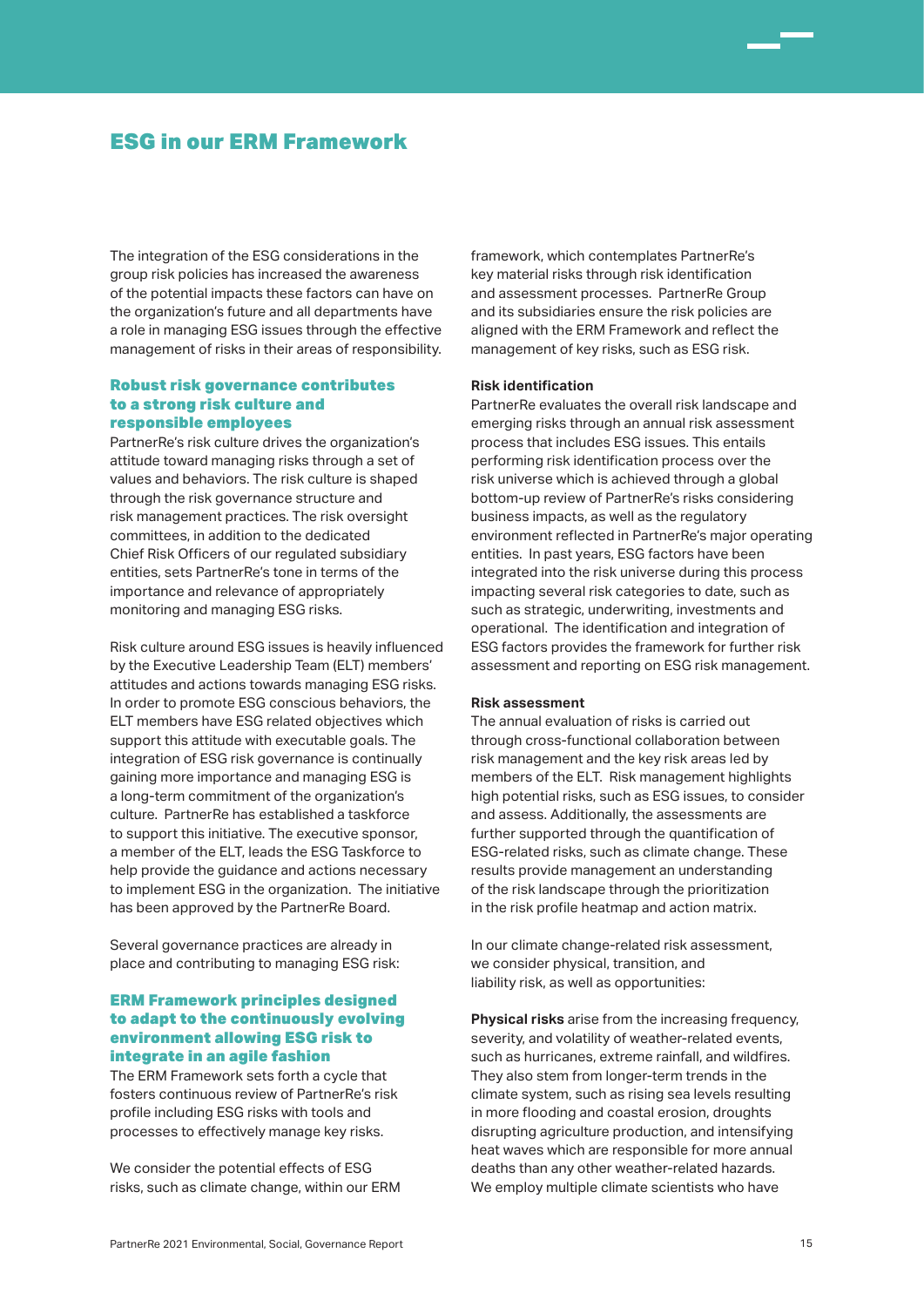# ESG in our ERM Framework

The integration of the ESG considerations in the group risk policies has increased the awareness of the potential impacts these factors can have on the organization's future and all departments have a role in managing ESG issues through the effective management of risks in their areas of responsibility.

### Robust risk governance contributes to a strong risk culture and responsible employees

PartnerRe's risk culture drives the organization's attitude toward managing risks through a set of values and behaviors. The risk culture is shaped through the risk governance structure and risk management practices. The risk oversight committees, in addition to the dedicated Chief Risk Officers of our regulated subsidiary entities, sets PartnerRe's tone in terms of the importance and relevance of appropriately monitoring and managing ESG risks.

Risk culture around ESG issues is heavily influenced by the Executive Leadership Team (ELT) members' attitudes and actions towards managing ESG risks. In order to promote ESG conscious behaviors, the ELT members have ESG related objectives which support this attitude with executable goals. The integration of ESG risk governance is continually gaining more importance and managing ESG is a long-term commitment of the organization's culture. PartnerRe has established a taskforce to support this initiative. The executive sponsor, a member of the ELT, leads the ESG Taskforce to help provide the guidance and actions necessary to implement ESG in the organization. The initiative has been approved by the PartnerRe Board.

Several governance practices are already in place and contributing to managing ESG risk:

### ERM Framework principles designed to adapt to the continuously evolving environment allowing ESG risk to integrate in an agile fashion

The ERM Framework sets forth a cycle that fosters continuous review of PartnerRe's risk profile including ESG risks with tools and processes to effectively manage key risks.

We consider the potential effects of ESG risks, such as climate change, within our ERM framework, which contemplates PartnerRe's key material risks through risk identification and assessment processes. PartnerRe Group and its subsidiaries ensure the risk policies are aligned with the ERM Framework and reflect the management of key risks, such as ESG risk.

### **Risk identification**

PartnerRe evaluates the overall risk landscape and emerging risks through an annual risk assessment process that includes ESG issues. This entails performing risk identification process over the risk universe which is achieved through a global bottom-up review of PartnerRe's risks considering business impacts, as well as the regulatory environment reflected in PartnerRe's major operating entities. In past years, ESG factors have been integrated into the risk universe during this process impacting several risk categories to date, such as such as strategic, underwriting, investments and operational. The identification and integration of ESG factors provides the framework for further risk assessment and reporting on ESG risk management.

### **Risk assessment**

The annual evaluation of risks is carried out through cross-functional collaboration between risk management and the key risk areas led by members of the ELT. Risk management highlights high potential risks, such as ESG issues, to consider and assess. Additionally, the assessments are further supported through the quantification of ESG-related risks, such as climate change. These results provide management an understanding of the risk landscape through the prioritization in the risk profile heatmap and action matrix.

In our climate change-related risk assessment, we consider physical, transition, and liability risk, as well as opportunities:

**Physical risks** arise from the increasing frequency, severity, and volatility of weather-related events, such as hurricanes, extreme rainfall, and wildfires. They also stem from longer-term trends in the climate system, such as rising sea levels resulting in more flooding and coastal erosion, droughts disrupting agriculture production, and intensifying heat waves which are responsible for more annual deaths than any other weather-related hazards. We employ multiple climate scientists who have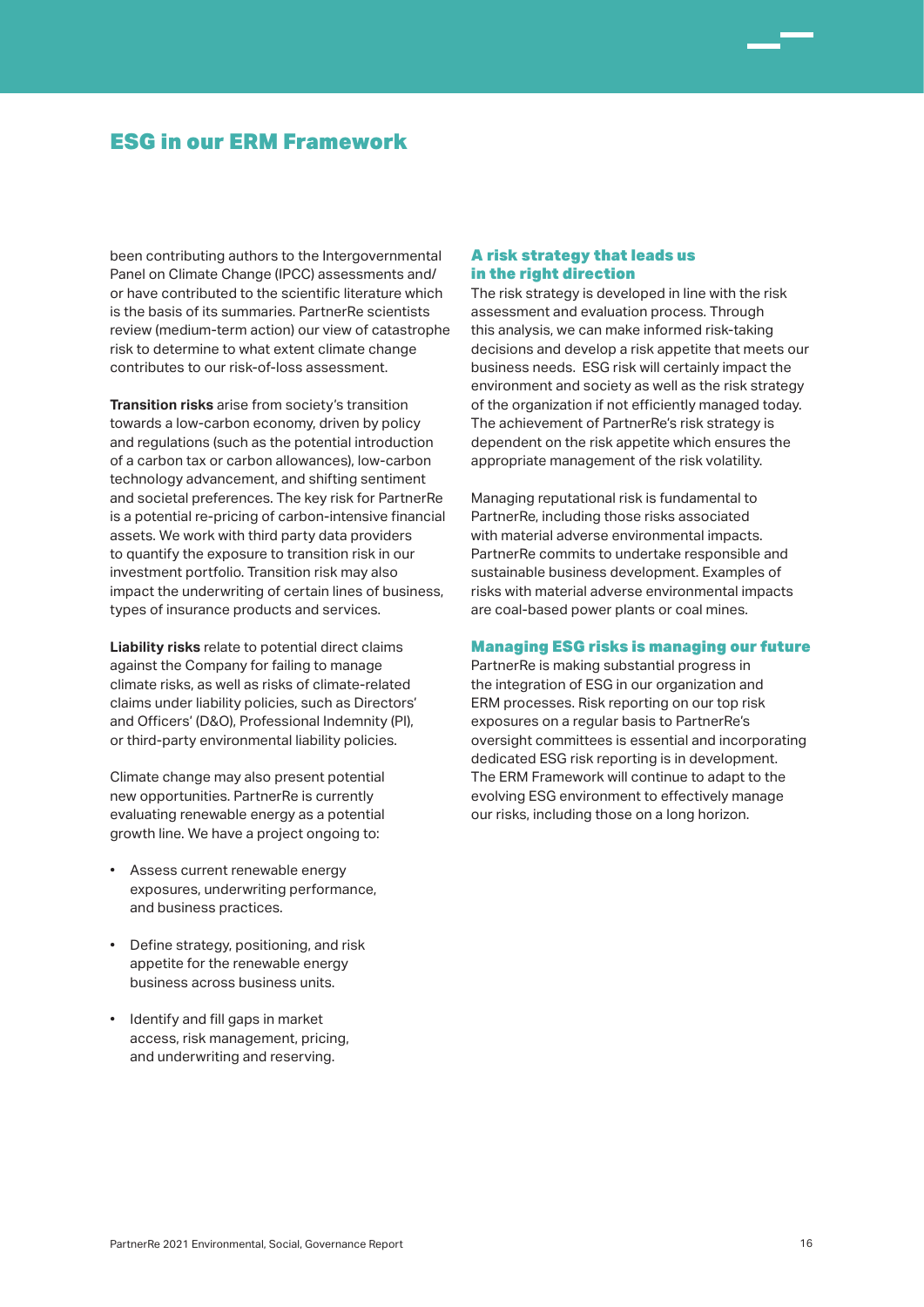# ESG in our ERM Framework

been contributing authors to the Intergovernmental Panel on Climate Change (IPCC) assessments and/ or have contributed to the scientific literature which is the basis of its summaries. PartnerRe scientists review (medium-term action) our view of catastrophe risk to determine to what extent climate change contributes to our risk-of-loss assessment.

**Transition risks** arise from society's transition towards a low-carbon economy, driven by policy and regulations (such as the potential introduction of a carbon tax or carbon allowances), low-carbon technology advancement, and shifting sentiment and societal preferences. The key risk for PartnerRe is a potential re-pricing of carbon-intensive financial assets. We work with third party data providers to quantify the exposure to transition risk in our investment portfolio. Transition risk may also impact the underwriting of certain lines of business, types of insurance products and services.

**Liability risks** relate to potential direct claims against the Company for failing to manage climate risks, as well as risks of climate-related claims under liability policies, such as Directors' and Officers' (D&O), Professional Indemnity (PI), or third-party environmental liability policies.

Climate change may also present potential new opportunities. PartnerRe is currently evaluating renewable energy as a potential growth line. We have a project ongoing to:

- Assess current renewable energy exposures, underwriting performance, and business practices.
- Define strategy, positioning, and risk appetite for the renewable energy business across business units.
- Identify and fill gaps in market access, risk management, pricing, and underwriting and reserving.

### A risk strategy that leads us in the right direction

The risk strategy is developed in line with the risk assessment and evaluation process. Through this analysis, we can make informed risk-taking decisions and develop a risk appetite that meets our business needs. ESG risk will certainly impact the environment and society as well as the risk strategy of the organization if not efficiently managed today. The achievement of PartnerRe's risk strategy is dependent on the risk appetite which ensures the appropriate management of the risk volatility.

Managing reputational risk is fundamental to PartnerRe, including those risks associated with material adverse environmental impacts. PartnerRe commits to undertake responsible and sustainable business development. Examples of risks with material adverse environmental impacts are coal-based power plants or coal mines.

### Managing ESG risks is managing our future

PartnerRe is making substantial progress in the integration of ESG in our organization and ERM processes. Risk reporting on our top risk exposures on a regular basis to PartnerRe's oversight committees is essential and incorporating dedicated ESG risk reporting is in development. The ERM Framework will continue to adapt to the evolving ESG environment to effectively manage our risks, including those on a long horizon.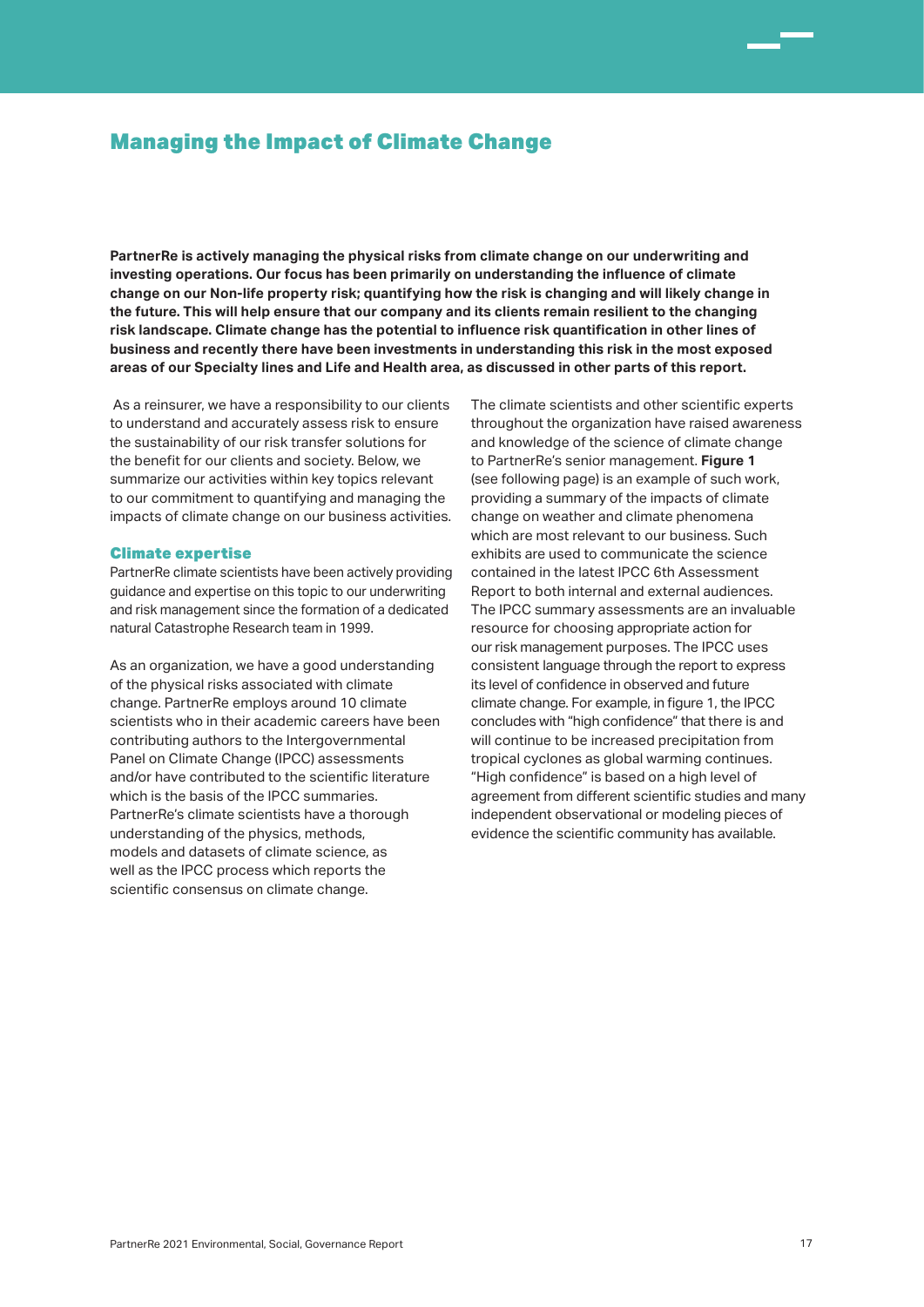**PartnerRe is actively managing the physical risks from climate change on our underwriting and investing operations. Our focus has been primarily on understanding the influence of climate change on our Non-life property risk; quantifying how the risk is changing and will likely change in the future. This will help ensure that our company and its clients remain resilient to the changing risk landscape. Climate change has the potential to influence risk quantification in other lines of business and recently there have been investments in understanding this risk in the most exposed areas of our Specialty lines and Life and Health area, as discussed in other parts of this report.**

 As a reinsurer, we have a responsibility to our clients to understand and accurately assess risk to ensure the sustainability of our risk transfer solutions for the benefit for our clients and society. Below, we summarize our activities within key topics relevant to our commitment to quantifying and managing the impacts of climate change on our business activities.

### Climate expertise

PartnerRe climate scientists have been actively providing guidance and expertise on this topic to our underwriting and risk management since the formation of a dedicated natural Catastrophe Research team in 1999.

As an organization, we have a good understanding of the physical risks associated with climate change. PartnerRe employs around 10 climate scientists who in their academic careers have been contributing authors to the Intergovernmental Panel on Climate Change (IPCC) assessments and/or have contributed to the scientific literature which is the basis of the IPCC summaries. PartnerRe's climate scientists have a thorough understanding of the physics, methods, models and datasets of climate science, as well as the IPCC process which reports the scientific consensus on climate change.

The climate scientists and other scientific experts throughout the organization have raised awareness and knowledge of the science of climate change to PartnerRe's senior management. **Figure 1** (see following page) is an example of such work, providing a summary of the impacts of climate change on weather and climate phenomena which are most relevant to our business. Such exhibits are used to communicate the science contained in the latest IPCC 6th Assessment Report to both internal and external audiences. The IPCC summary assessments are an invaluable resource for choosing appropriate action for our risk management purposes. The IPCC uses consistent language through the report to express its level of confidence in observed and future climate change. For example, in figure 1, the IPCC concludes with "high confidence" that there is and will continue to be increased precipitation from tropical cyclones as global warming continues. "High confidence" is based on a high level of agreement from different scientific studies and many independent observational or modeling pieces of evidence the scientific community has available.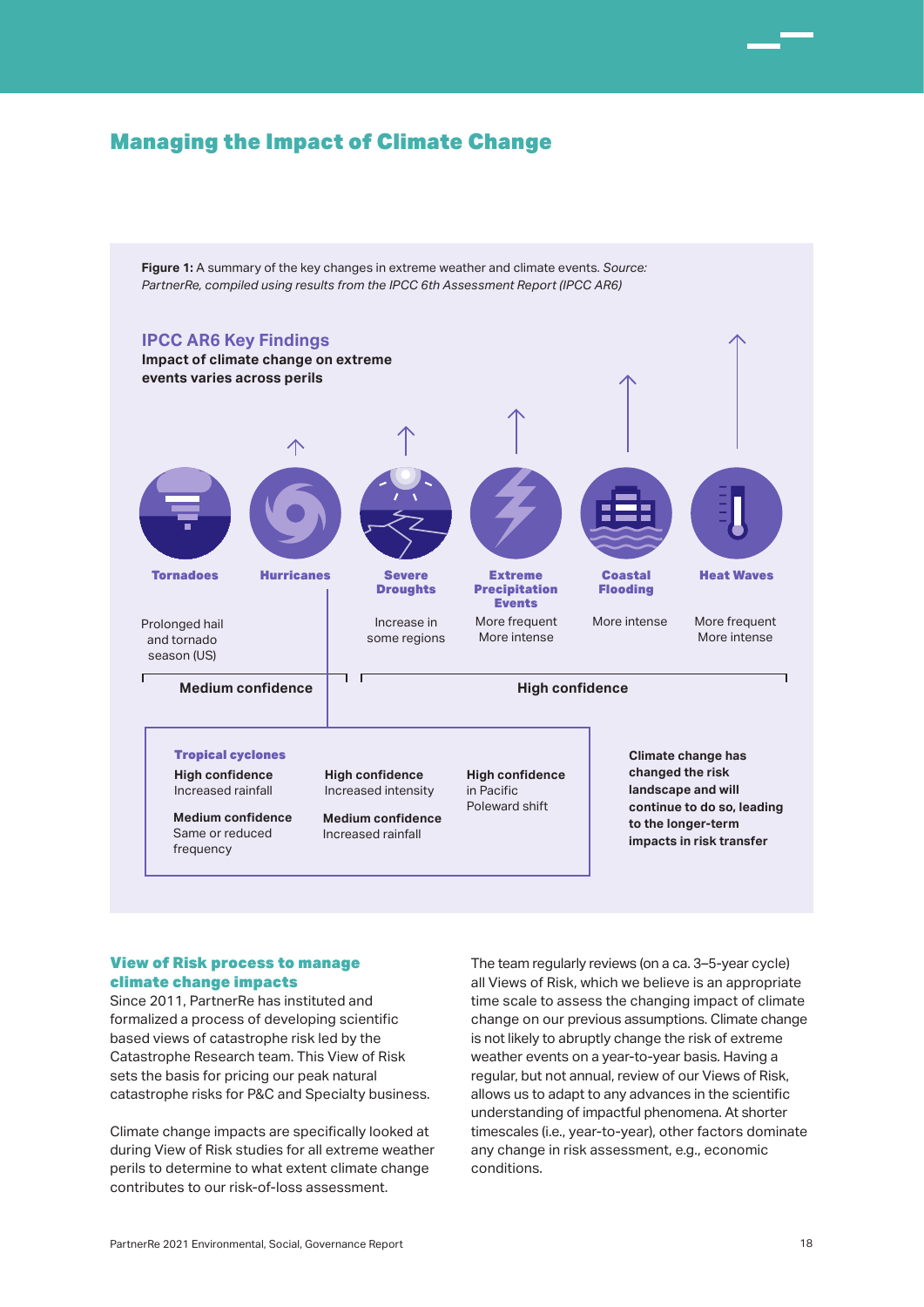**Figure 1:** A summary of the key changes in extreme weather and climate events. *Source: PartnerRe, compiled using results from the IPCC 6th Assessment Report (IPCC AR6)*



### View of Risk process to manage climate change impacts

Since 2011, PartnerRe has instituted and formalized a process of developing scientific based views of catastrophe risk led by the Catastrophe Research team. This View of Risk sets the basis for pricing our peak natural catastrophe risks for P&C and Specialty business.

Climate change impacts are specifically looked at during View of Risk studies for all extreme weather perils to determine to what extent climate change contributes to our risk-of-loss assessment.

The team regularly reviews (on a ca. 3–5-year cycle) all Views of Risk, which we believe is an appropriate time scale to assess the changing impact of climate change on our previous assumptions. Climate change is not likely to abruptly change the risk of extreme weather events on a year-to-year basis. Having a regular, but not annual, review of our Views of Risk, allows us to adapt to any advances in the scientific understanding of impactful phenomena. At shorter timescales (i.e., year-to-year), other factors dominate any change in risk assessment, e.g., economic conditions.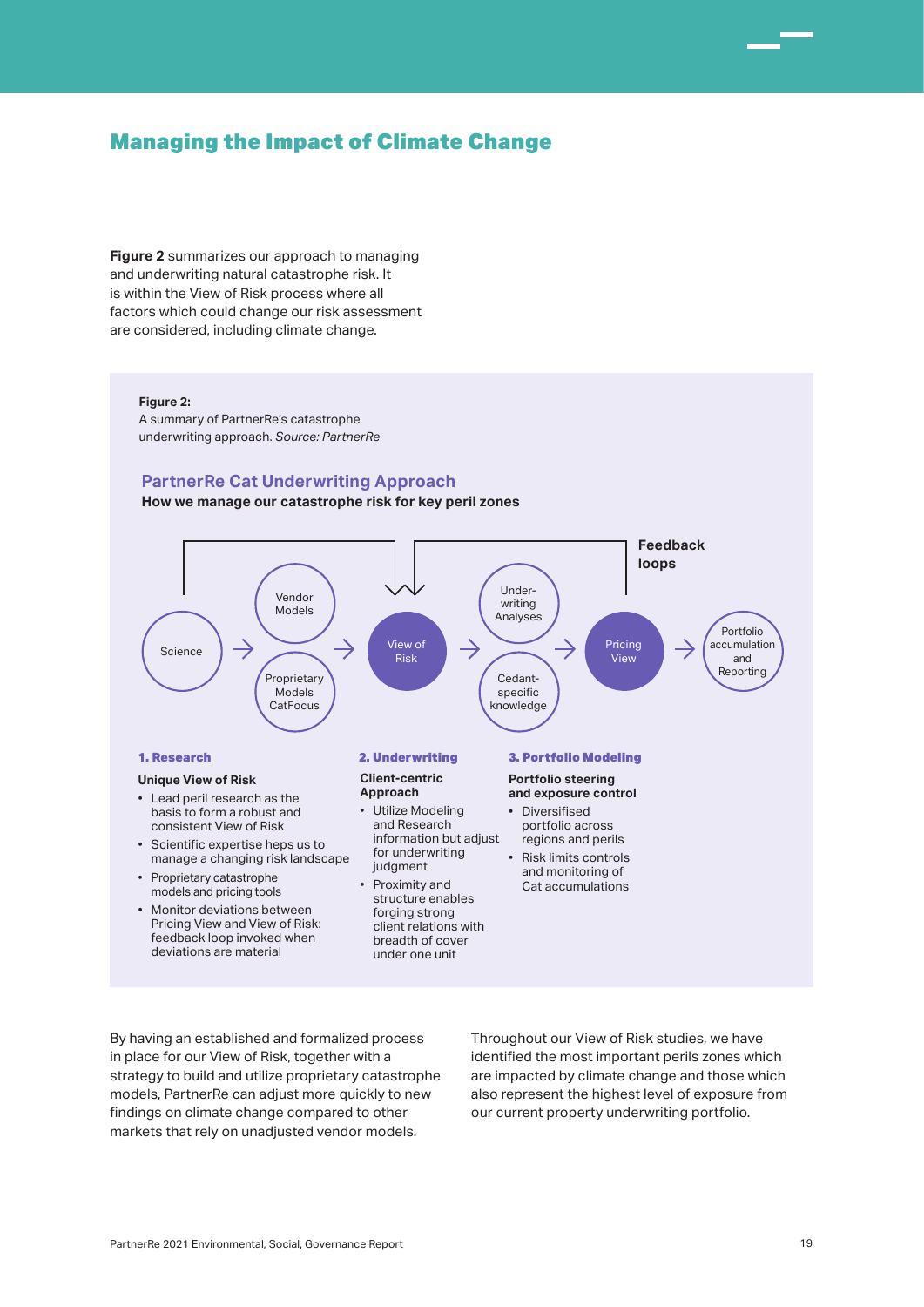**Figure 2** summarizes our approach to managing and underwriting natural catastrophe risk. It is within the View of Risk process where all factors which could change our risk assessment are considered, including climate change.

#### **Figure 2:**

A summary of PartnerRe's catastrophe underwriting approach. *Source: PartnerRe*

### **PartnerRe Cat Underwriting Approach**

**How we manage our catastrophe risk for key peril zones**



By having an established and formalized process in place for our View of Risk, together with a strategy to build and utilize proprietary catastrophe models, PartnerRe can adjust more quickly to new findings on climate change compared to other markets that rely on unadjusted vendor models.

Throughout our View of Risk studies, we have identified the most important perils zones which are impacted by climate change and those which also represent the highest level of exposure from our current property underwriting portfolio.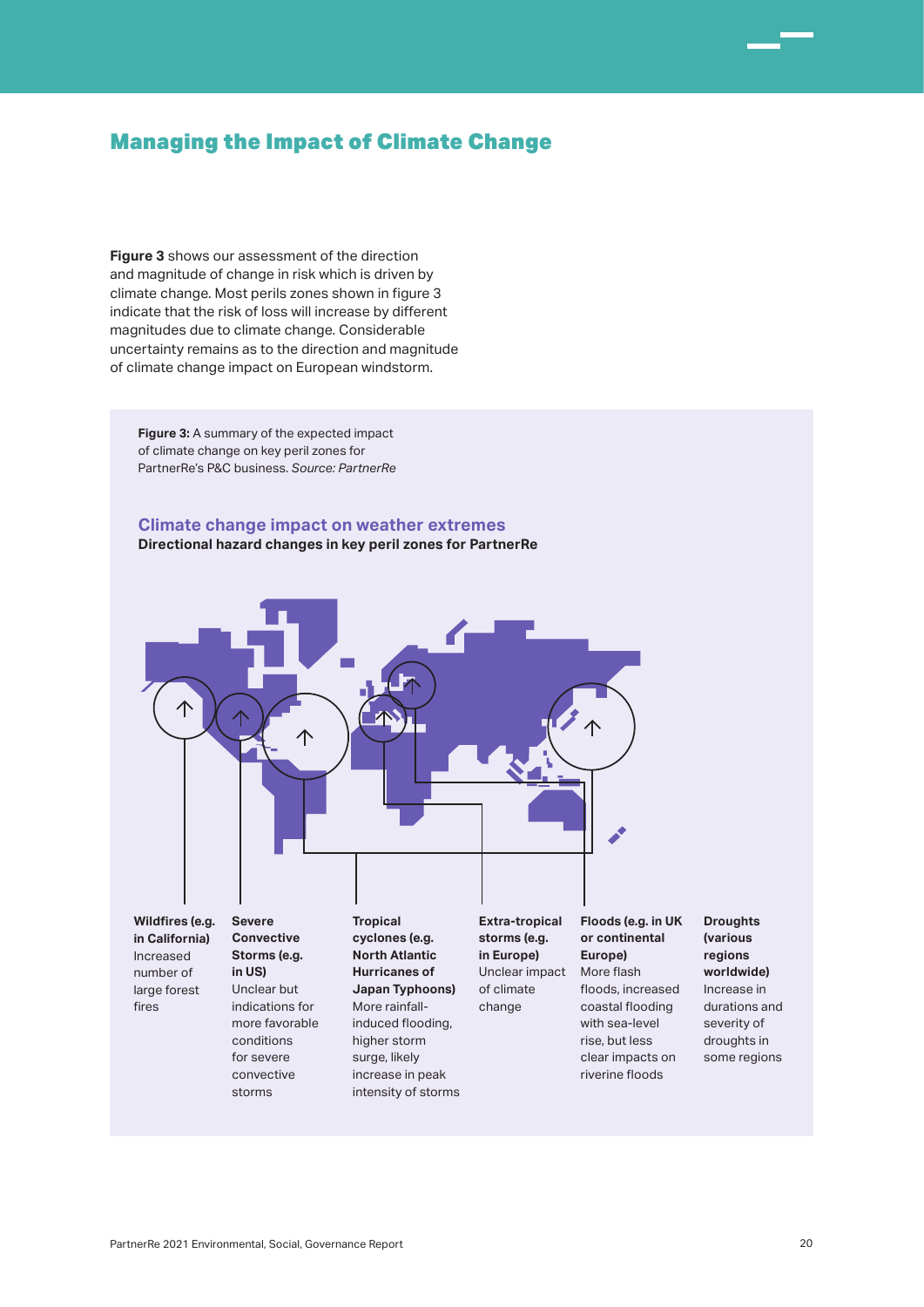**Figure 3** shows our assessment of the direction and magnitude of change in risk which is driven by climate change. Most perils zones shown in figure 3 indicate that the risk of loss will increase by different magnitudes due to climate change. Considerable uncertainty remains as to the direction and magnitude of climate change impact on European windstorm.

**Figure 3:** A summary of the expected impact of climate change on key peril zones for PartnerRe's P&C business. *Source: PartnerRe*

### **Climate change impact on weather extremes Directional hazard changes in key peril zones for PartnerRe**



Increased number of large forest fires

**Storms (e.g. in US)** Unclear but indications for more favorable conditions for severe convective storms

**North Atlantic Hurricanes of Japan Typhoons)** More rainfallinduced flooding, higher storm surge, likely increase in peak intensity of storms

Unclear impact More flash **in Europe)** of climate

change

**Europe)** floods, increased

coastal flooding with sea-level rise, but less clear impacts on riverine floods

**Droughts (various regions worldwide)** Increase in durations and severity of droughts in some regions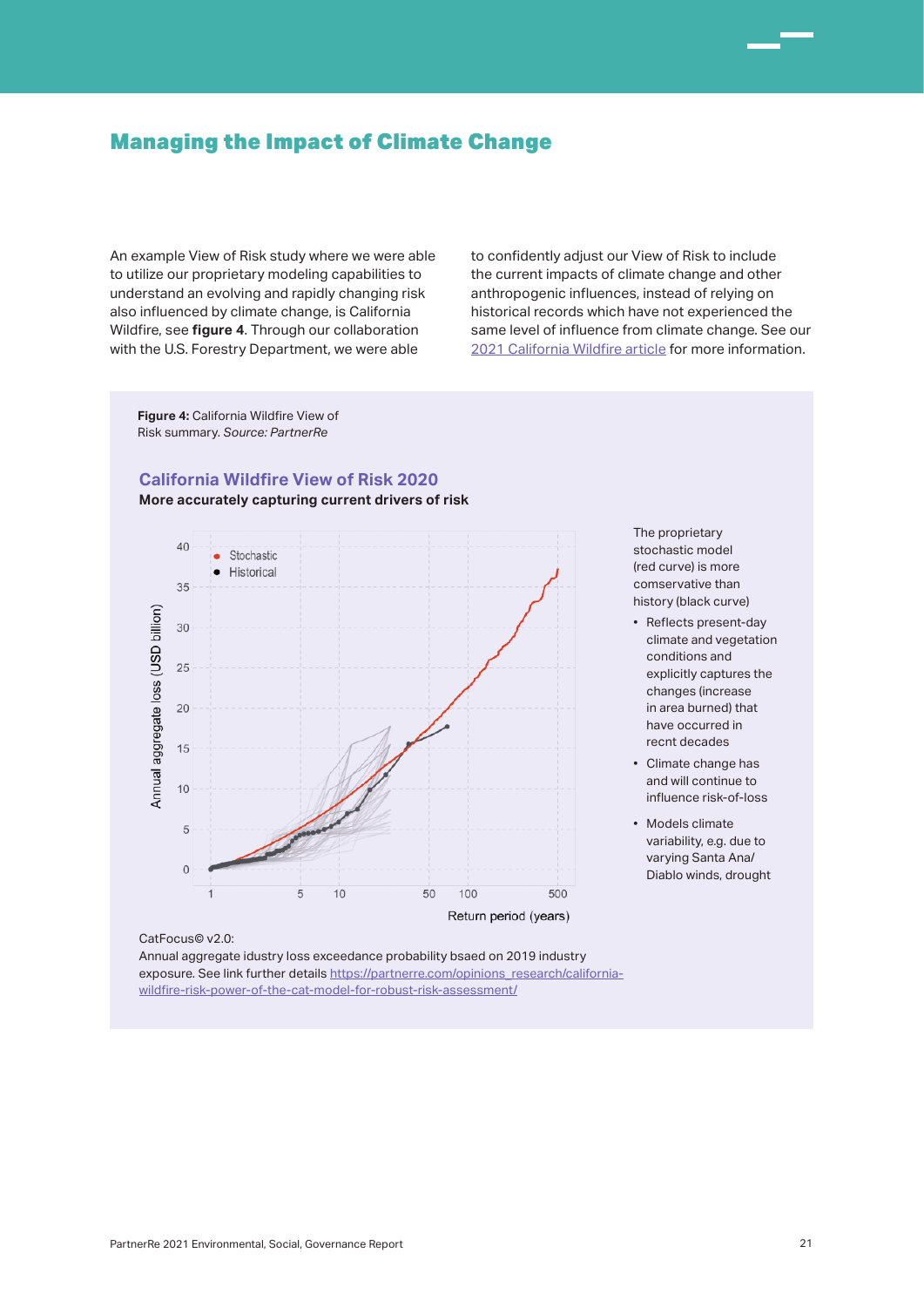An example View of Risk study where we were able to utilize our proprietary modeling capabilities to understand an evolving and rapidly changing risk also influenced by climate change, is California Wildfire, see **figure 4**. Through our collaboration with the U.S. Forestry Department, we were able

to confidently adjust our View of Risk to include the current impacts of climate change and other anthropogenic influences, instead of relying on historical records which have not experienced the same level of influence from climate change. See our 2021 California Wildfire article for more information.

**Figure 4:** California Wildfire View of Risk summary. *Source: PartnerRe*

### **California Wildfire View of Risk 2020**

**More accurately capturing current drivers of risk**



The proprietary stochastic model (red curve) is more comservative than history (black curve)

- Reflects present-day climate and vegetation conditions and explicitly captures the changes (increase in area burned) that have occurred in recnt decades
- Climate change has and will continue to influence risk-of-loss
- Models climate variability, e.g. due to varying Santa Ana/ Diablo winds, drought

CatFocus© v2.0:

Annual aggregate idustry loss exceedance probability bsaed on 2019 industry exposure. See link further details https://partnerre.com/opinions\_research/californiawildfire-risk-power-of-the-cat-model-for-robust-risk-assessment/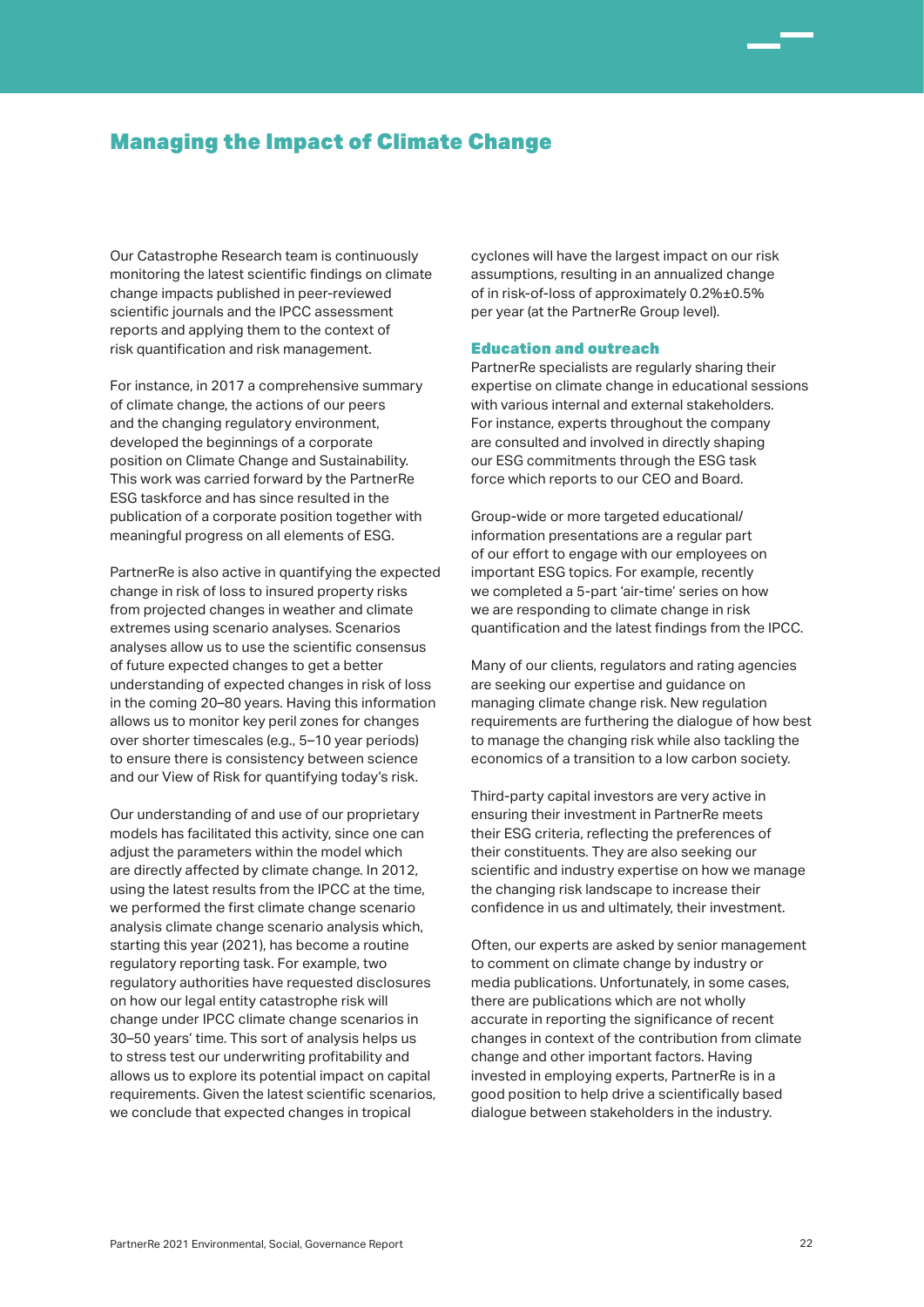Our Catastrophe Research team is continuously monitoring the latest scientific findings on climate change impacts published in peer-reviewed scientific journals and the IPCC assessment reports and applying them to the context of risk quantification and risk management.

For instance, in 2017 a comprehensive summary of climate change, the actions of our peers and the changing regulatory environment, developed the beginnings of a corporate position on Climate Change and Sustainability. This work was carried forward by the PartnerRe ESG taskforce and has since resulted in the publication of a corporate position together with meaningful progress on all elements of ESG.

PartnerRe is also active in quantifying the expected change in risk of loss to insured property risks from projected changes in weather and climate extremes using scenario analyses. Scenarios analyses allow us to use the scientific consensus of future expected changes to get a better understanding of expected changes in risk of loss in the coming 20–80 years. Having this information allows us to monitor key peril zones for changes over shorter timescales (e.g., 5–10 year periods) to ensure there is consistency between science and our View of Risk for quantifying today's risk.

Our understanding of and use of our proprietary models has facilitated this activity, since one can adjust the parameters within the model which are directly affected by climate change. In 2012, using the latest results from the IPCC at the time, we performed the first climate change scenario analysis climate change scenario analysis which, starting this year (2021), has become a routine regulatory reporting task. For example, two regulatory authorities have requested disclosures on how our legal entity catastrophe risk will change under IPCC climate change scenarios in 30–50 years' time. This sort of analysis helps us to stress test our underwriting profitability and allows us to explore its potential impact on capital requirements. Given the latest scientific scenarios, we conclude that expected changes in tropical

cyclones will have the largest impact on our risk assumptions, resulting in an annualized change of in risk-of-loss of approximately 0.2%±0.5% per year (at the PartnerRe Group level).

### Education and outreach

PartnerRe specialists are regularly sharing their expertise on climate change in educational sessions with various internal and external stakeholders. For instance, experts throughout the company are consulted and involved in directly shaping our ESG commitments through the ESG task force which reports to our CEO and Board.

Group-wide or more targeted educational/ information presentations are a regular part of our effort to engage with our employees on important ESG topics. For example, recently we completed a 5-part 'air-time' series on how we are responding to climate change in risk quantification and the latest findings from the IPCC.

Many of our clients, regulators and rating agencies are seeking our expertise and guidance on managing climate change risk. New regulation requirements are furthering the dialogue of how best to manage the changing risk while also tackling the economics of a transition to a low carbon society.

Third-party capital investors are very active in ensuring their investment in PartnerRe meets their ESG criteria, reflecting the preferences of their constituents. They are also seeking our scientific and industry expertise on how we manage the changing risk landscape to increase their confidence in us and ultimately, their investment.

Often, our experts are asked by senior management to comment on climate change by industry or media publications. Unfortunately, in some cases, there are publications which are not wholly accurate in reporting the significance of recent changes in context of the contribution from climate change and other important factors. Having invested in employing experts, PartnerRe is in a good position to help drive a scientifically based dialogue between stakeholders in the industry.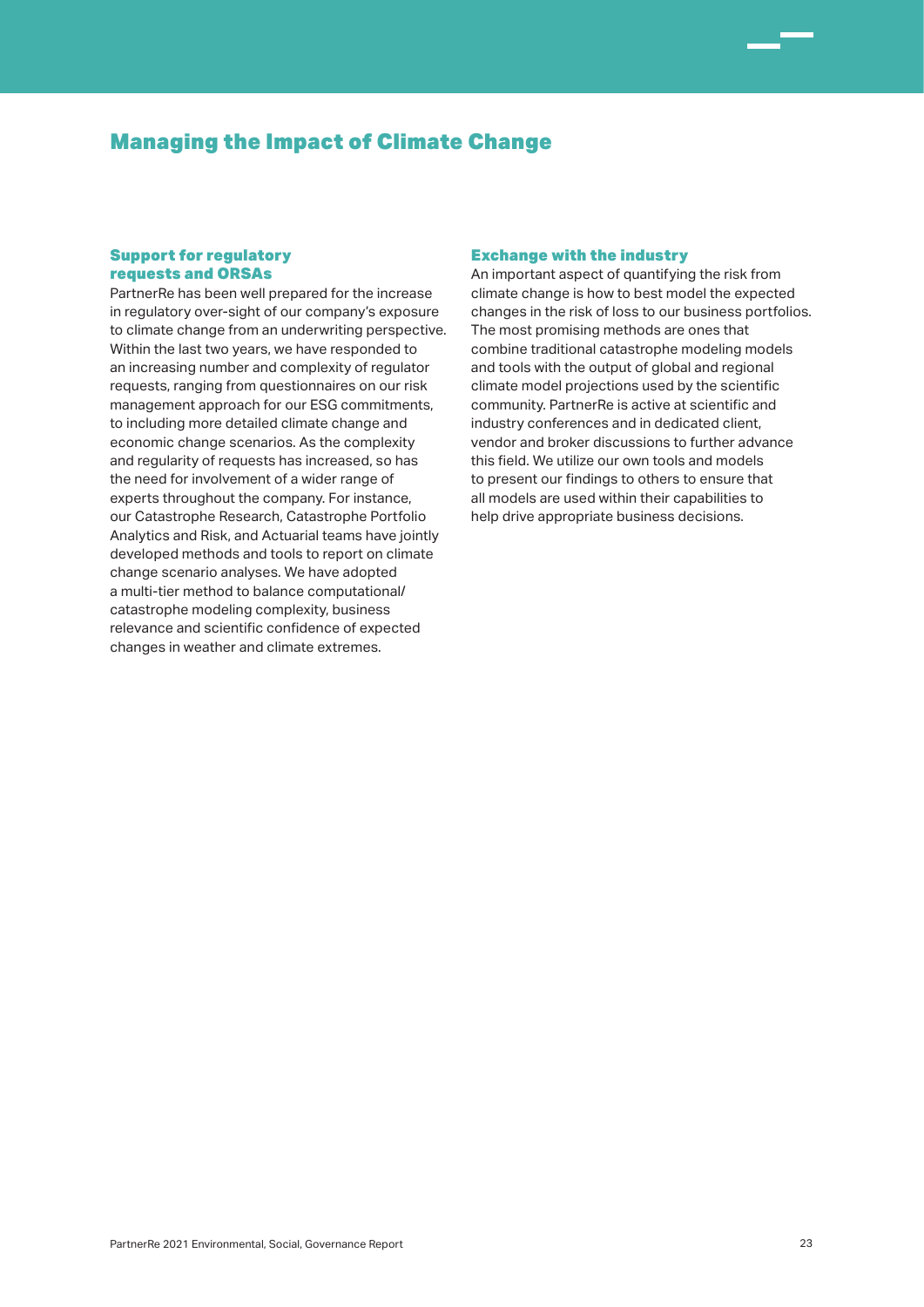### Support for regulatory requests and ORSAs

PartnerRe has been well prepared for the increase in regulatory over-sight of our company's exposure to climate change from an underwriting perspective. Within the last two years, we have responded to an increasing number and complexity of regulator requests, ranging from questionnaires on our risk management approach for our ESG commitments, to including more detailed climate change and economic change scenarios. As the complexity and regularity of requests has increased, so has the need for involvement of a wider range of experts throughout the company. For instance, our Catastrophe Research, Catastrophe Portfolio Analytics and Risk, and Actuarial teams have jointly developed methods and tools to report on climate change scenario analyses. We have adopted a multi-tier method to balance computational/ catastrophe modeling complexity, business relevance and scientific confidence of expected changes in weather and climate extremes.

### Exchange with the industry

An important aspect of quantifying the risk from climate change is how to best model the expected changes in the risk of loss to our business portfolios. The most promising methods are ones that combine traditional catastrophe modeling models and tools with the output of global and regional climate model projections used by the scientific community. PartnerRe is active at scientific and industry conferences and in dedicated client, vendor and broker discussions to further advance this field. We utilize our own tools and models to present our findings to others to ensure that all models are used within their capabilities to help drive appropriate business decisions.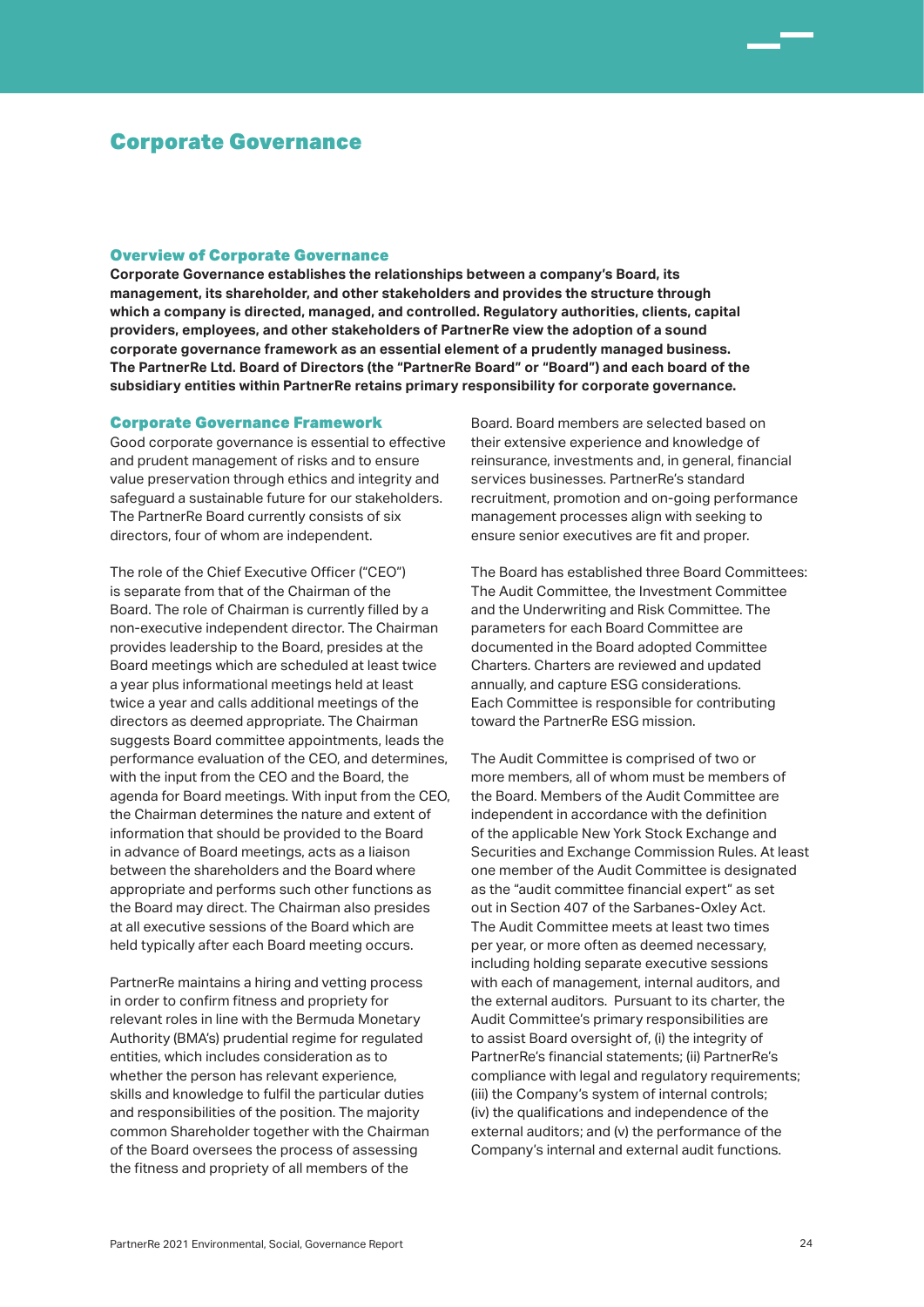### Overview of Corporate Governance

**Corporate Governance establishes the relationships between a company's Board, its management, its shareholder, and other stakeholders and provides the structure through which a company is directed, managed, and controlled. Regulatory authorities, clients, capital providers, employees, and other stakeholders of PartnerRe view the adoption of a sound corporate governance framework as an essential element of a prudently managed business. The PartnerRe Ltd. Board of Directors (the "PartnerRe Board" or "Board") and each board of the subsidiary entities within PartnerRe retains primary responsibility for corporate governance.** 

### Corporate Governance Framework

Good corporate governance is essential to effective and prudent management of risks and to ensure value preservation through ethics and integrity and safeguard a sustainable future for our stakeholders. The PartnerRe Board currently consists of six directors, four of whom are independent.

The role of the Chief Executive Officer ("CEO") is separate from that of the Chairman of the Board. The role of Chairman is currently filled by a non-executive independent director. The Chairman provides leadership to the Board, presides at the Board meetings which are scheduled at least twice a year plus informational meetings held at least twice a year and calls additional meetings of the directors as deemed appropriate. The Chairman suggests Board committee appointments, leads the performance evaluation of the CEO, and determines, with the input from the CEO and the Board, the agenda for Board meetings. With input from the CEO, the Chairman determines the nature and extent of information that should be provided to the Board in advance of Board meetings, acts as a liaison between the shareholders and the Board where appropriate and performs such other functions as the Board may direct. The Chairman also presides at all executive sessions of the Board which are held typically after each Board meeting occurs.

PartnerRe maintains a hiring and vetting process in order to confirm fitness and propriety for relevant roles in line with the Bermuda Monetary Authority (BMA's) prudential regime for regulated entities, which includes consideration as to whether the person has relevant experience. skills and knowledge to fulfil the particular duties and responsibilities of the position. The majority common Shareholder together with the Chairman of the Board oversees the process of assessing the fitness and propriety of all members of the

Board. Board members are selected based on their extensive experience and knowledge of reinsurance, investments and, in general, financial services businesses. PartnerRe's standard recruitment, promotion and on-going performance management processes align with seeking to ensure senior executives are fit and proper.

The Board has established three Board Committees: The Audit Committee, the Investment Committee and the Underwriting and Risk Committee. The parameters for each Board Committee are documented in the Board adopted Committee Charters. Charters are reviewed and updated annually, and capture ESG considerations. Each Committee is responsible for contributing toward the PartnerRe ESG mission.

The Audit Committee is comprised of two or more members, all of whom must be members of the Board. Members of the Audit Committee are independent in accordance with the definition of the applicable New York Stock Exchange and Securities and Exchange Commission Rules. At least one member of the Audit Committee is designated as the "audit committee financial expert" as set out in Section 407 of the Sarbanes-Oxley Act. The Audit Committee meets at least two times per year, or more often as deemed necessary, including holding separate executive sessions with each of management, internal auditors, and the external auditors. Pursuant to its charter, the Audit Committee's primary responsibilities are to assist Board oversight of, (i) the integrity of PartnerRe's financial statements; (ii) PartnerRe's compliance with legal and regulatory requirements; (iii) the Company's system of internal controls; (iv) the qualifications and independence of the external auditors; and (v) the performance of the Company's internal and external audit functions.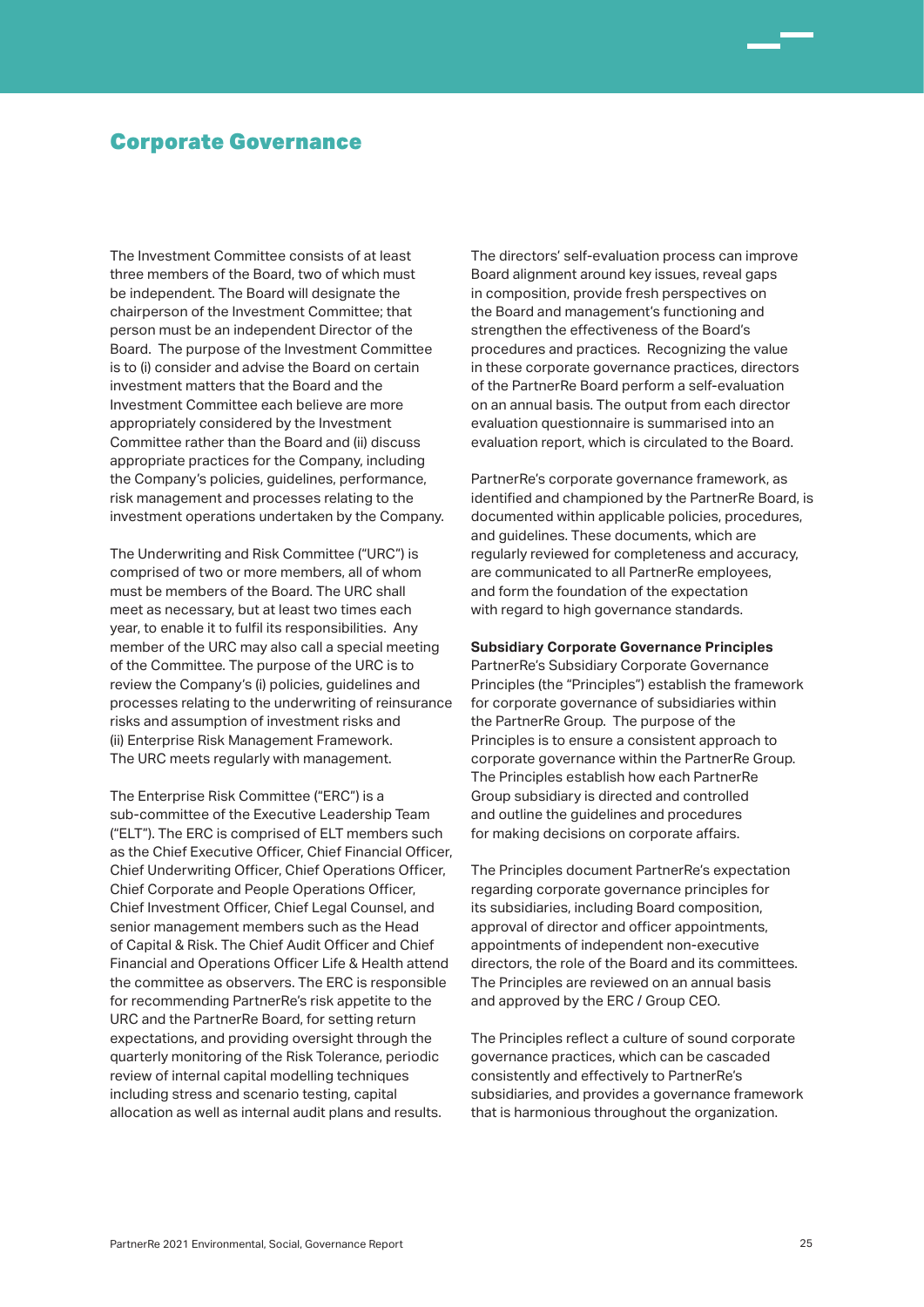The Investment Committee consists of at least three members of the Board, two of which must be independent. The Board will designate the chairperson of the Investment Committee; that person must be an independent Director of the Board. The purpose of the Investment Committee is to (i) consider and advise the Board on certain investment matters that the Board and the Investment Committee each believe are more appropriately considered by the Investment Committee rather than the Board and (ii) discuss appropriate practices for the Company, including the Company's policies, guidelines, performance, risk management and processes relating to the investment operations undertaken by the Company.

The Underwriting and Risk Committee ("URC") is comprised of two or more members, all of whom must be members of the Board. The URC shall meet as necessary, but at least two times each year, to enable it to fulfil its responsibilities. Any member of the URC may also call a special meeting of the Committee. The purpose of the URC is to review the Company's (i) policies, guidelines and processes relating to the underwriting of reinsurance risks and assumption of investment risks and (ii) Enterprise Risk Management Framework. The URC meets regularly with management.

The Enterprise Risk Committee ("ERC") is a sub-committee of the Executive Leadership Team ("ELT"). The ERC is comprised of ELT members such as the Chief Executive Officer, Chief Financial Officer, Chief Underwriting Officer, Chief Operations Officer, Chief Corporate and People Operations Officer, Chief Investment Officer, Chief Legal Counsel, and senior management members such as the Head of Capital & Risk. The Chief Audit Officer and Chief Financial and Operations Officer Life & Health attend the committee as observers. The ERC is responsible for recommending PartnerRe's risk appetite to the URC and the PartnerRe Board, for setting return expectations, and providing oversight through the quarterly monitoring of the Risk Tolerance, periodic review of internal capital modelling techniques including stress and scenario testing, capital allocation as well as internal audit plans and results.

The directors' self-evaluation process can improve Board alignment around key issues, reveal gaps in composition, provide fresh perspectives on the Board and management's functioning and strengthen the effectiveness of the Board's procedures and practices. Recognizing the value in these corporate governance practices, directors of the PartnerRe Board perform a self-evaluation on an annual basis. The output from each director evaluation questionnaire is summarised into an evaluation report, which is circulated to the Board.

PartnerRe's corporate governance framework, as identified and championed by the PartnerRe Board, is documented within applicable policies, procedures, and guidelines. These documents, which are regularly reviewed for completeness and accuracy, are communicated to all PartnerRe employees, and form the foundation of the expectation with regard to high governance standards.

### **Subsidiary Corporate Governance Principles**

PartnerRe's Subsidiary Corporate Governance Principles (the "Principles") establish the framework for corporate governance of subsidiaries within the PartnerRe Group. The purpose of the Principles is to ensure a consistent approach to corporate governance within the PartnerRe Group. The Principles establish how each PartnerRe Group subsidiary is directed and controlled and outline the guidelines and procedures for making decisions on corporate affairs.

The Principles document PartnerRe's expectation regarding corporate governance principles for its subsidiaries, including Board composition, approval of director and officer appointments, appointments of independent non-executive directors, the role of the Board and its committees. The Principles are reviewed on an annual basis and approved by the ERC / Group CEO.

The Principles reflect a culture of sound corporate governance practices, which can be cascaded consistently and effectively to PartnerRe's subsidiaries, and provides a governance framework that is harmonious throughout the organization.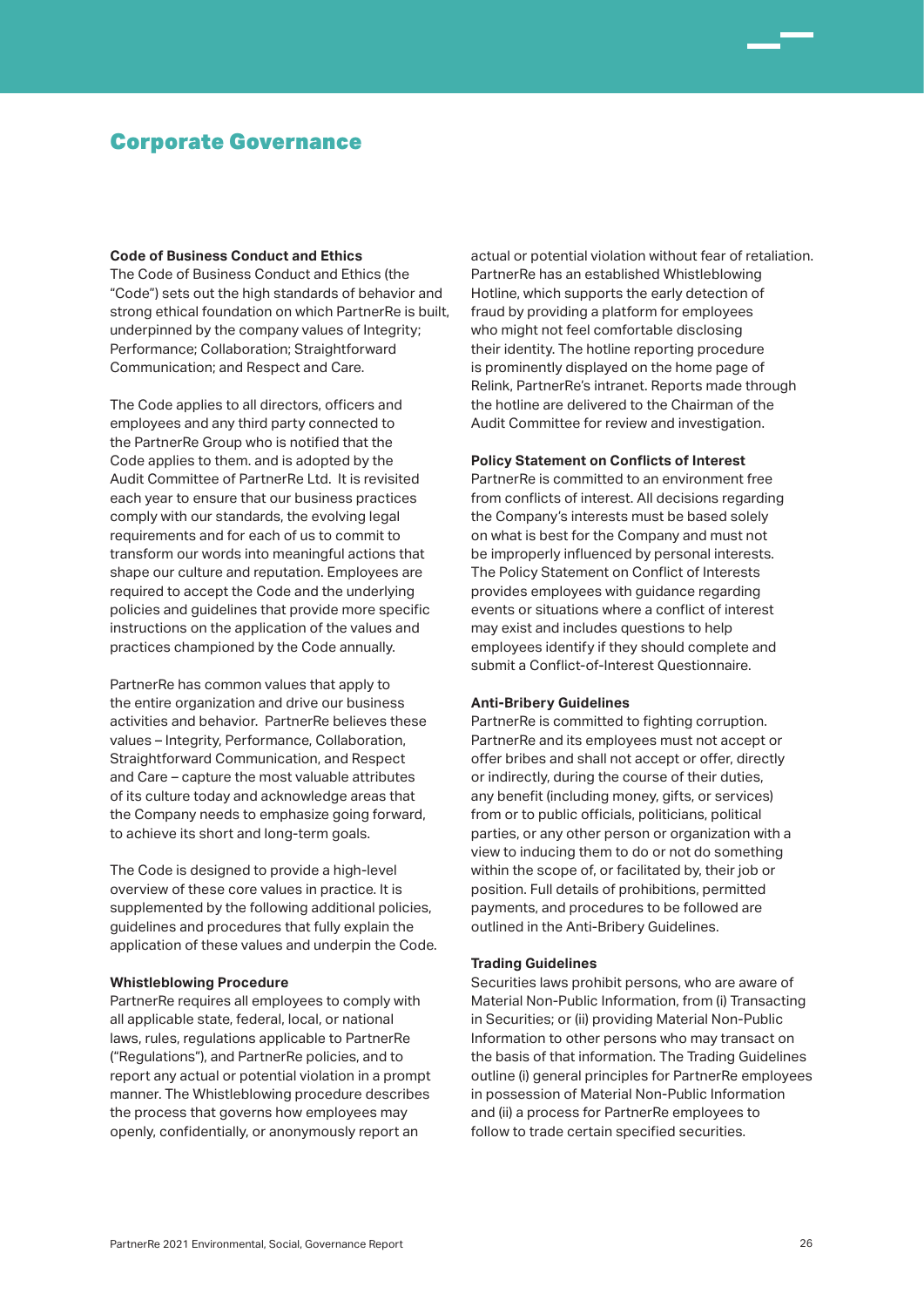#### **Code of Business Conduct and Ethics**

The Code of Business Conduct and Ethics (the "Code") sets out the high standards of behavior and strong ethical foundation on which PartnerRe is built, underpinned by the company values of Integrity; Performance; Collaboration; Straightforward Communication; and Respect and Care.

The Code applies to all directors, officers and employees and any third party connected to the PartnerRe Group who is notified that the Code applies to them. and is adopted by the Audit Committee of PartnerRe Ltd. It is revisited each year to ensure that our business practices comply with our standards, the evolving legal requirements and for each of us to commit to transform our words into meaningful actions that shape our culture and reputation. Employees are required to accept the Code and the underlying policies and guidelines that provide more specific instructions on the application of the values and practices championed by the Code annually.

PartnerRe has common values that apply to the entire organization and drive our business activities and behavior. PartnerRe believes these values – Integrity, Performance, Collaboration, Straightforward Communication, and Respect and Care – capture the most valuable attributes of its culture today and acknowledge areas that the Company needs to emphasize going forward, to achieve its short and long-term goals.

The Code is designed to provide a high-level overview of these core values in practice. It is supplemented by the following additional policies, guidelines and procedures that fully explain the application of these values and underpin the Code.

### **Whistleblowing Procedure**

PartnerRe requires all employees to comply with all applicable state, federal, local, or national laws, rules, regulations applicable to PartnerRe ("Regulations"), and PartnerRe policies, and to report any actual or potential violation in a prompt manner. The Whistleblowing procedure describes the process that governs how employees may openly, confidentially, or anonymously report an

actual or potential violation without fear of retaliation. PartnerRe has an established Whistleblowing Hotline, which supports the early detection of fraud by providing a platform for employees who might not feel comfortable disclosing their identity. The hotline reporting procedure is prominently displayed on the home page of Relink, PartnerRe's intranet. Reports made through the hotline are delivered to the Chairman of the Audit Committee for review and investigation.

### **Policy Statement on Conflicts of Interest**

PartnerRe is committed to an environment free from conflicts of interest. All decisions regarding the Company's interests must be based solely on what is best for the Company and must not be improperly influenced by personal interests. The Policy Statement on Conflict of Interests provides employees with guidance regarding events or situations where a conflict of interest may exist and includes questions to help employees identify if they should complete and submit a Conflict-of-Interest Questionnaire.

### **Anti-Bribery Guidelines**

PartnerRe is committed to fighting corruption. PartnerRe and its employees must not accept or offer bribes and shall not accept or offer, directly or indirectly, during the course of their duties, any benefit (including money, gifts, or services) from or to public officials, politicians, political parties, or any other person or organization with a view to inducing them to do or not do something within the scope of, or facilitated by, their job or position. Full details of prohibitions, permitted payments, and procedures to be followed are outlined in the Anti-Bribery Guidelines.

#### **Trading Guidelines**

Securities laws prohibit persons, who are aware of Material Non-Public Information, from (i) Transacting in Securities; or (ii) providing Material Non-Public Information to other persons who may transact on the basis of that information. The Trading Guidelines outline (i) general principles for PartnerRe employees in possession of Material Non-Public Information and (ii) a process for PartnerRe employees to follow to trade certain specified securities.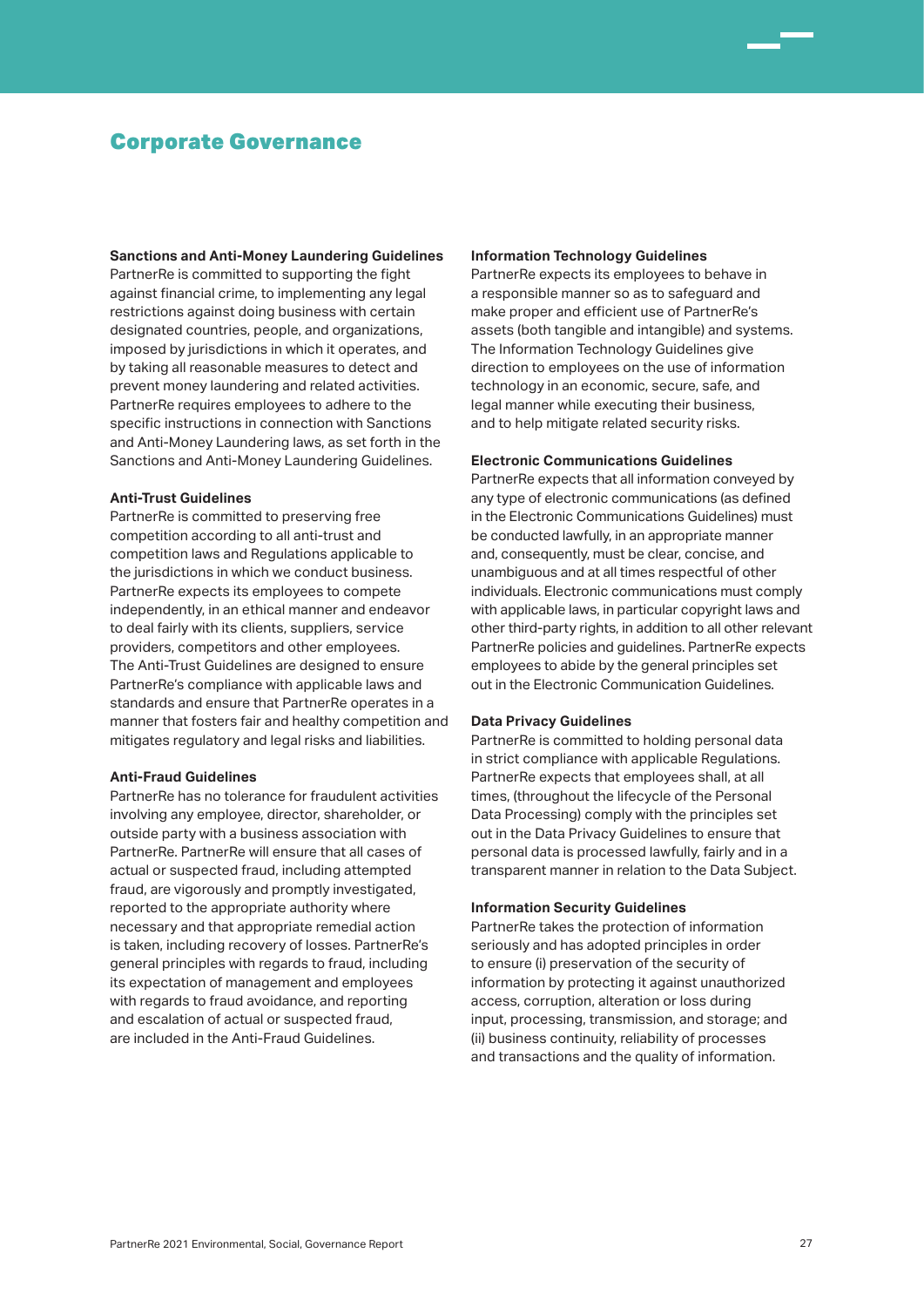#### **Sanctions and Anti-Money Laundering Guidelines**

PartnerRe is committed to supporting the fight against financial crime, to implementing any legal restrictions against doing business with certain designated countries, people, and organizations, imposed by jurisdictions in which it operates, and by taking all reasonable measures to detect and prevent money laundering and related activities. PartnerRe requires employees to adhere to the specific instructions in connection with Sanctions and Anti-Money Laundering laws, as set forth in the Sanctions and Anti-Money Laundering Guidelines.

#### **Anti-Trust Guidelines**

PartnerRe is committed to preserving free competition according to all anti-trust and competition laws and Regulations applicable to the jurisdictions in which we conduct business. PartnerRe expects its employees to compete independently, in an ethical manner and endeavor to deal fairly with its clients, suppliers, service providers, competitors and other employees. The Anti-Trust Guidelines are designed to ensure PartnerRe's compliance with applicable laws and standards and ensure that PartnerRe operates in a manner that fosters fair and healthy competition and mitigates regulatory and legal risks and liabilities.

### **Anti-Fraud Guidelines**

PartnerRe has no tolerance for fraudulent activities involving any employee, director, shareholder, or outside party with a business association with PartnerRe. PartnerRe will ensure that all cases of actual or suspected fraud, including attempted fraud, are vigorously and promptly investigated, reported to the appropriate authority where necessary and that appropriate remedial action is taken, including recovery of losses. PartnerRe's general principles with regards to fraud, including its expectation of management and employees with regards to fraud avoidance, and reporting and escalation of actual or suspected fraud, are included in the Anti-Fraud Guidelines.

### **Information Technology Guidelines**

PartnerRe expects its employees to behave in a responsible manner so as to safeguard and make proper and efficient use of PartnerRe's assets (both tangible and intangible) and systems. The Information Technology Guidelines give direction to employees on the use of information technology in an economic, secure, safe, and legal manner while executing their business, and to help mitigate related security risks.

### **Electronic Communications Guidelines**

PartnerRe expects that all information conveyed by any type of electronic communications (as defined in the Electronic Communications Guidelines) must be conducted lawfully, in an appropriate manner and, consequently, must be clear, concise, and unambiguous and at all times respectful of other individuals. Electronic communications must comply with applicable laws, in particular copyright laws and other third-party rights, in addition to all other relevant PartnerRe policies and guidelines. PartnerRe expects employees to abide by the general principles set out in the Electronic Communication Guidelines.

### **Data Privacy Guidelines**

PartnerRe is committed to holding personal data in strict compliance with applicable Regulations. PartnerRe expects that employees shall, at all times, (throughout the lifecycle of the Personal Data Processing) comply with the principles set out in the Data Privacy Guidelines to ensure that personal data is processed lawfully, fairly and in a transparent manner in relation to the Data Subject.

### **Information Security Guidelines**

PartnerRe takes the protection of information seriously and has adopted principles in order to ensure (i) preservation of the security of information by protecting it against unauthorized access, corruption, alteration or loss during input, processing, transmission, and storage; and (ii) business continuity, reliability of processes and transactions and the quality of information.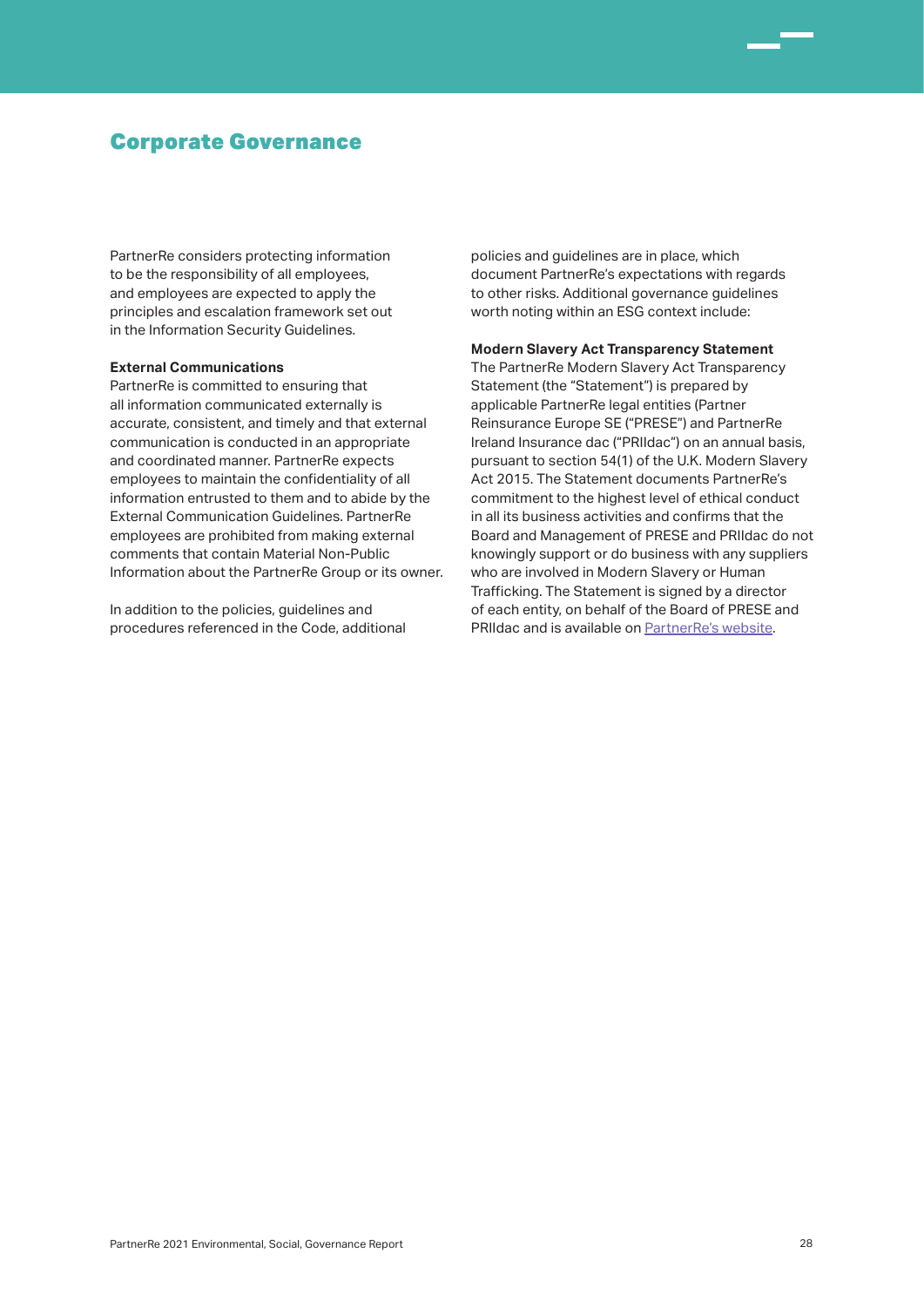PartnerRe considers protecting information to be the responsibility of all employees, and employees are expected to apply the principles and escalation framework set out in the Information Security Guidelines.

### **External Communications**

PartnerRe is committed to ensuring that all information communicated externally is accurate, consistent, and timely and that external communication is conducted in an appropriate and coordinated manner. PartnerRe expects employees to maintain the confidentiality of all information entrusted to them and to abide by the External Communication Guidelines. PartnerRe employees are prohibited from making external comments that contain Material Non-Public Information about the PartnerRe Group or its owner.

In addition to the policies, guidelines and procedures referenced in the Code, additional policies and guidelines are in place, which document PartnerRe's expectations with regards to other risks. Additional governance guidelines worth noting within an ESG context include:

### **Modern Slavery Act Transparency Statement**

The PartnerRe Modern Slavery Act Transparency Statement (the "Statement") is prepared by applicable PartnerRe legal entities (Partner Reinsurance Europe SE ("PRESE") and PartnerRe Ireland Insurance dac ("PRIIdac") on an annual basis, pursuant to section 54(1) of the U.K. Modern Slavery Act 2015. The Statement documents PartnerRe's commitment to the highest level of ethical conduct in all its business activities and confirms that the Board and Management of PRESE and PRIIdac do not knowingly support or do business with any suppliers who are involved in Modern Slavery or Human Trafficking. The Statement is signed by a director of each entity, on behalf of the Board of PRESE and PRIIdac and is available on PartnerRe's website.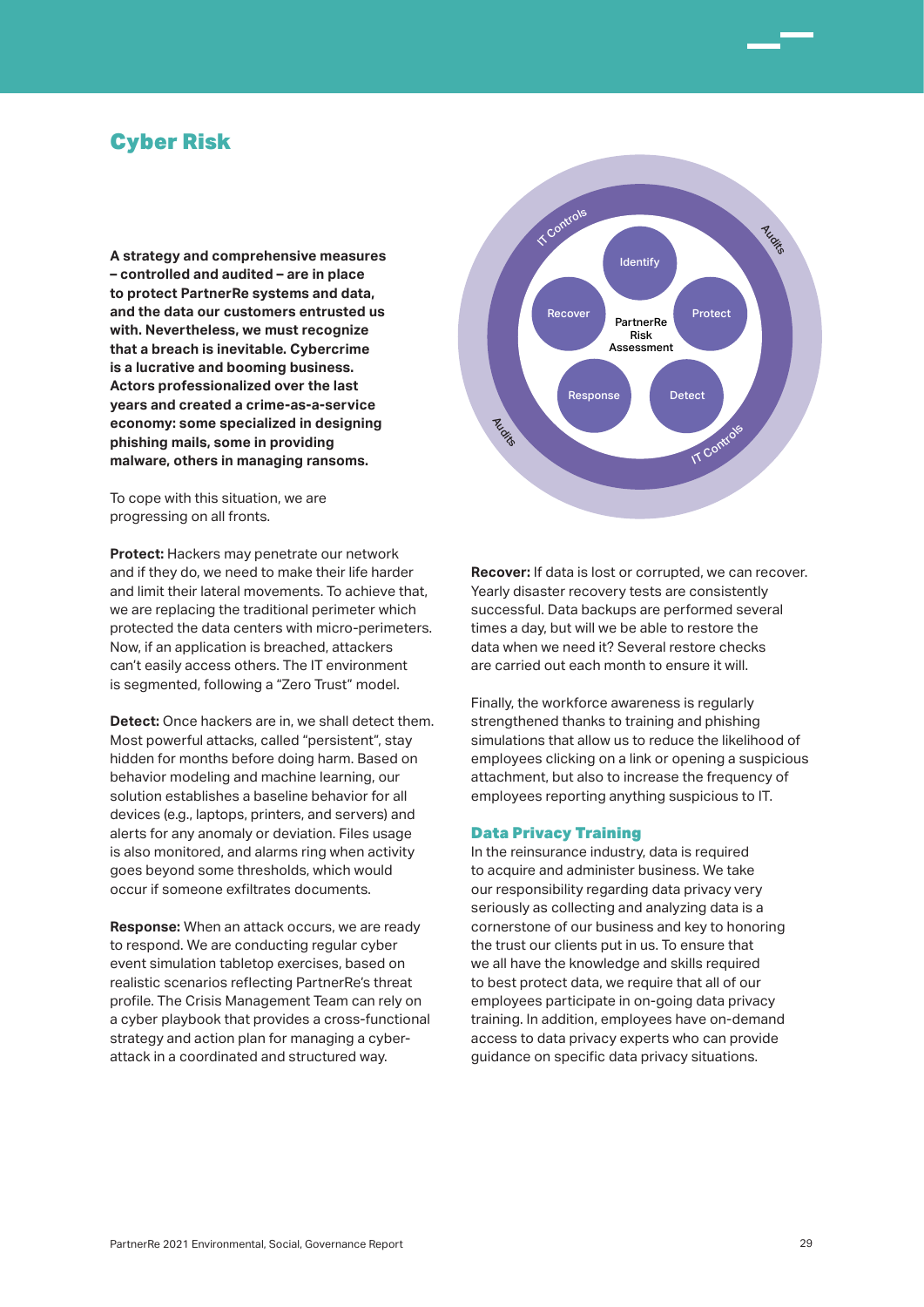## Cyber Risk

**A strategy and comprehensive measures – controlled and audited – are in place to protect PartnerRe systems and data, and the data our customers entrusted us with. Nevertheless, we must recognize that a breach is inevitable. Cybercrime is a lucrative and booming business. Actors professionalized over the last years and created a crime-as-a-service economy: some specialized in designing phishing mails, some in providing malware, others in managing ransoms.** 

To cope with this situation, we are progressing on all fronts.

**Protect:** Hackers may penetrate our network and if they do, we need to make their life harder and limit their lateral movements. To achieve that, we are replacing the traditional perimeter which protected the data centers with micro-perimeters. Now, if an application is breached, attackers can't easily access others. The IT environment is segmented, following a "Zero Trust" model.

**Detect:** Once hackers are in, we shall detect them. Most powerful attacks, called "persistent", stay hidden for months before doing harm. Based on behavior modeling and machine learning, our solution establishes a baseline behavior for all devices (e.g., laptops, printers, and servers) and alerts for any anomaly or deviation. Files usage is also monitored, and alarms ring when activity goes beyond some thresholds, which would occur if someone exfiltrates documents.

**Response:** When an attack occurs, we are ready to respond. We are conducting regular cyber event simulation tabletop exercises, based on realistic scenarios reflecting PartnerRe's threat profile. The Crisis Management Team can rely on a cyber playbook that provides a cross-functional strategy and action plan for managing a cyberattack in a coordinated and structured way.



**Recover:** If data is lost or corrupted, we can recover. Yearly disaster recovery tests are consistently successful. Data backups are performed several times a day, but will we be able to restore the data when we need it? Several restore checks are carried out each month to ensure it will.

Finally, the workforce awareness is regularly strengthened thanks to training and phishing simulations that allow us to reduce the likelihood of employees clicking on a link or opening a suspicious attachment, but also to increase the frequency of employees reporting anything suspicious to IT.

### Data Privacy Training

In the reinsurance industry, data is required to acquire and administer business. We take our responsibility regarding data privacy very seriously as collecting and analyzing data is a cornerstone of our business and key to honoring the trust our clients put in us. To ensure that we all have the knowledge and skills required to best protect data, we require that all of our employees participate in on-going data privacy training. In addition, employees have on-demand access to data privacy experts who can provide guidance on specific data privacy situations.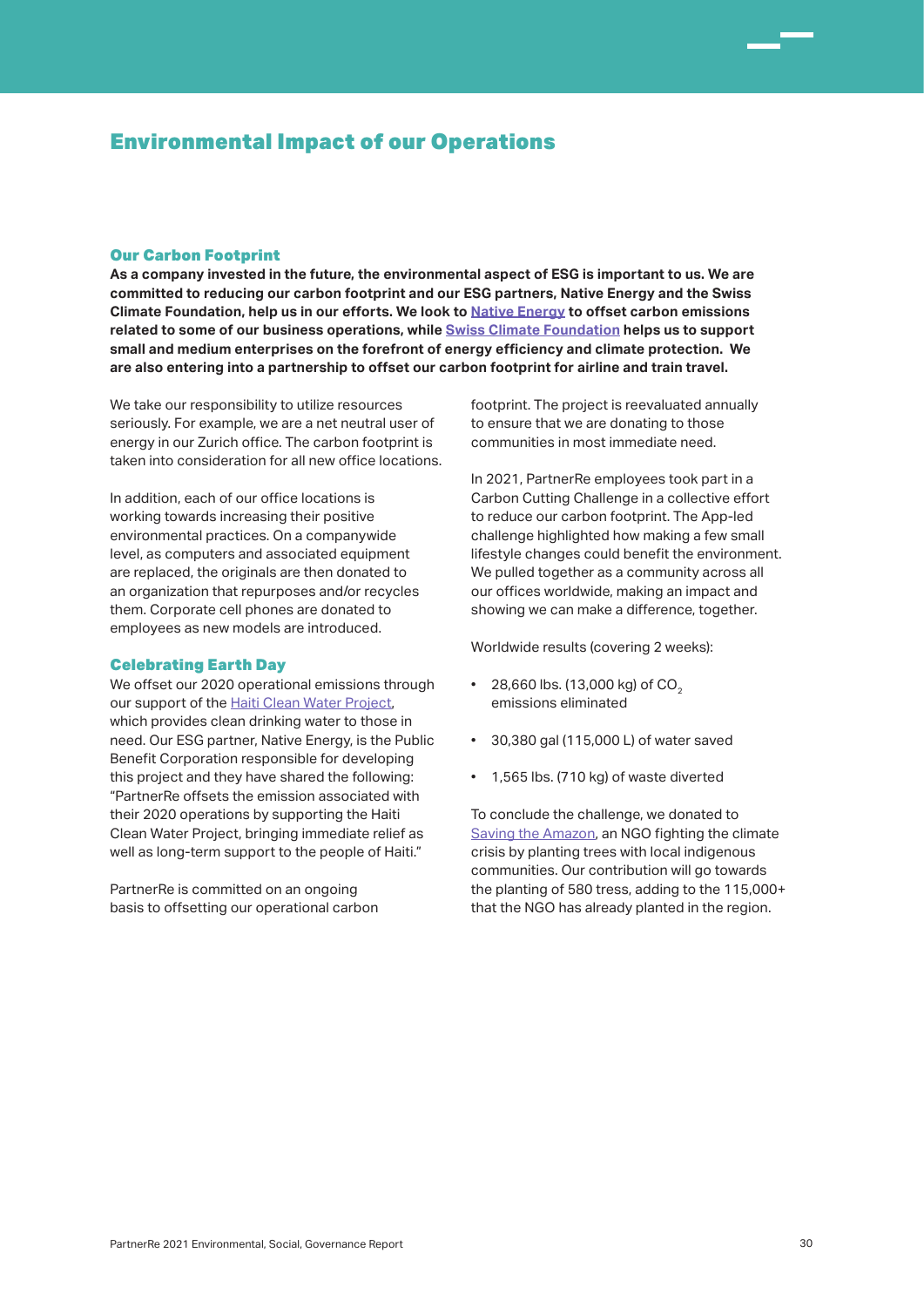## Environmental Impact of our Operations

### Our Carbon Footprint

**As a company invested in the future, the environmental aspect of ESG is important to us. We are committed to reducing our carbon footprint and our ESG partners, Native Energy and the Swiss Climate Foundation, help us in our efforts. We look to Native Energy to offset carbon emissions related to some of our business operations, while Swiss Climate Foundation helps us to support small and medium enterprises on the forefront of energy efficiency and climate protection. We are also entering into a partnership to offset our carbon footprint for airline and train travel.**

We take our responsibility to utilize resources seriously. For example, we are a net neutral user of energy in our Zurich office. The carbon footprint is taken into consideration for all new office locations.

In addition, each of our office locations is working towards increasing their positive environmental practices. On a companywide level, as computers and associated equipment are replaced, the originals are then donated to an organization that repurposes and/or recycles them. Corporate cell phones are donated to employees as new models are introduced.

#### Celebrating Earth Day

We offset our 2020 operational emissions through our support of the Haiti Clean Water Project, which provides clean drinking water to those in need. Our ESG partner, Native Energy, is the Public Benefit Corporation responsible for developing this project and they have shared the following: "PartnerRe offsets the emission associated with their 2020 operations by supporting the Haiti Clean Water Project, bringing immediate relief as well as long-term support to the people of Haiti."

PartnerRe is committed on an ongoing basis to offsetting our operational carbon footprint. The project is reevaluated annually to ensure that we are donating to those communities in most immediate need.

In 2021, PartnerRe employees took part in a Carbon Cutting Challenge in a collective effort to reduce our carbon footprint. The App-led challenge highlighted how making a few small lifestyle changes could benefit the environment. We pulled together as a community across all our offices worldwide, making an impact and showing we can make a difference, together.

Worldwide results (covering 2 weeks):

- $\cdot$  28,660 lbs. (13,000 kg) of CO<sub>2</sub> emissions eliminated
- 30,380 gal (115,000 L) of water saved
- 1,565 lbs. (710 kg) of waste diverted

To conclude the challenge, we donated to Saving the Amazon, an NGO fighting the climate crisis by planting trees with local indigenous communities. Our contribution will go towards the planting of 580 tress, adding to the 115,000+ that the NGO has already planted in the region.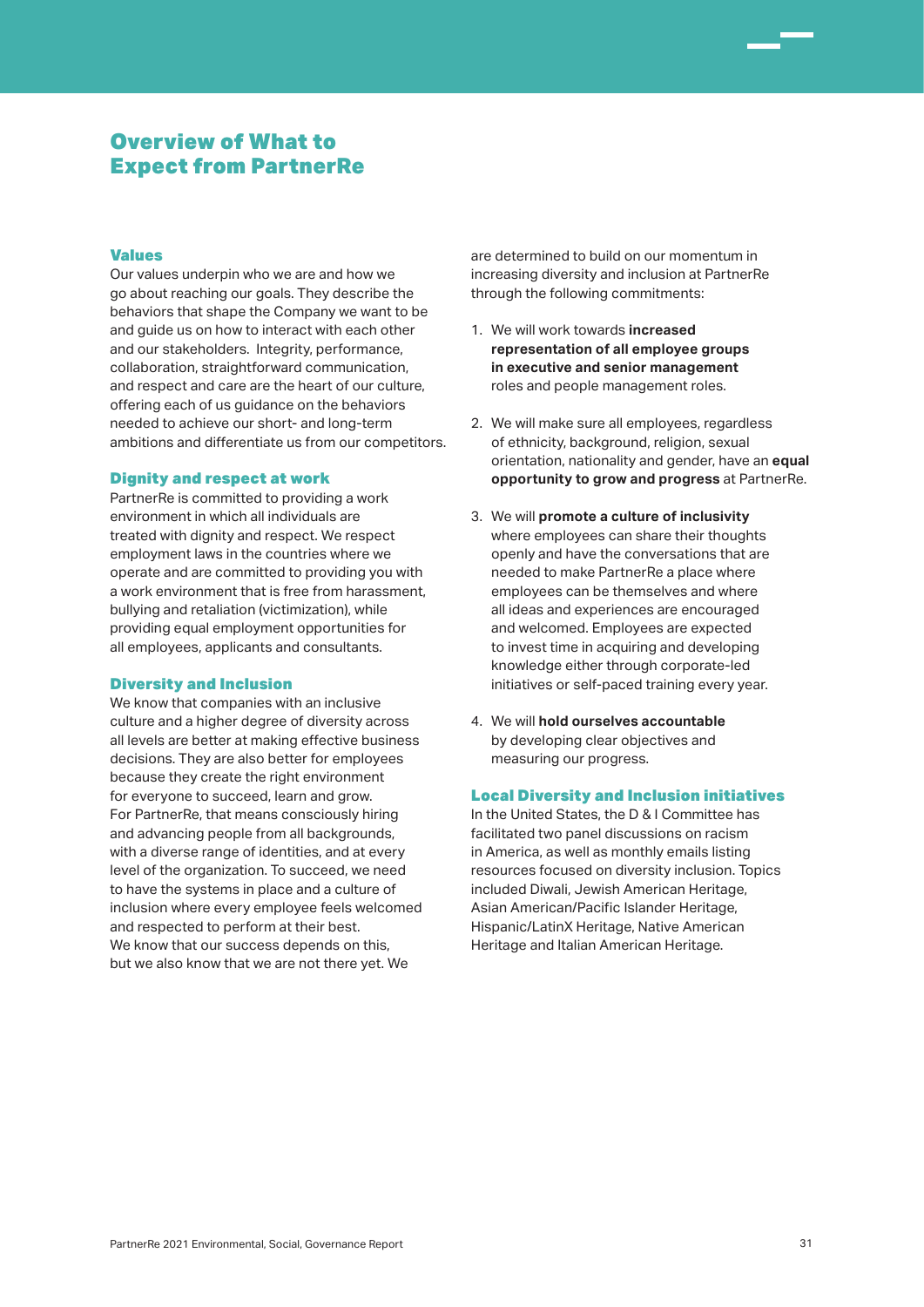# Overview of What to Expect from PartnerRe

### Values

Our values underpin who we are and how we go about reaching our goals. They describe the behaviors that shape the Company we want to be and guide us on how to interact with each other and our stakeholders. Integrity, performance, collaboration, straightforward communication, and respect and care are the heart of our culture, offering each of us guidance on the behaviors needed to achieve our short- and long-term ambitions and differentiate us from our competitors.

#### Dignity and respect at work

PartnerRe is committed to providing a work environment in which all individuals are treated with dignity and respect. We respect employment laws in the countries where we operate and are committed to providing you with a work environment that is free from harassment, bullying and retaliation (victimization), while providing equal employment opportunities for all employees, applicants and consultants.

#### Diversity and Inclusion

We know that companies with an inclusive culture and a higher degree of diversity across all levels are better at making effective business decisions. They are also better for employees because they create the right environment for everyone to succeed, learn and grow. For PartnerRe, that means consciously hiring and advancing people from all backgrounds, with a diverse range of identities, and at every level of the organization. To succeed, we need to have the systems in place and a culture of inclusion where every employee feels welcomed and respected to perform at their best. We know that our success depends on this. but we also know that we are not there yet. We

are determined to build on our momentum in increasing diversity and inclusion at PartnerRe through the following commitments:

- 1. We will work towards **increased representation of all employee groups in executive and senior management** roles and people management roles.
- 2. We will make sure all employees, regardless of ethnicity, background, religion, sexual orientation, nationality and gender, have an **equal opportunity to grow and progress** at PartnerRe.
- 3. We will **promote a culture of inclusivity** where employees can share their thoughts openly and have the conversations that are needed to make PartnerRe a place where employees can be themselves and where all ideas and experiences are encouraged and welcomed. Employees are expected to invest time in acquiring and developing knowledge either through corporate-led initiatives or self-paced training every year.
- 4. We will **hold ourselves accountable** by developing clear objectives and measuring our progress.

### Local Diversity and Inclusion initiatives

In the United States, the D & I Committee has facilitated two panel discussions on racism in America, as well as monthly emails listing resources focused on diversity inclusion. Topics included Diwali, Jewish American Heritage, Asian American/Pacific Islander Heritage, Hispanic/LatinX Heritage, Native American Heritage and Italian American Heritage.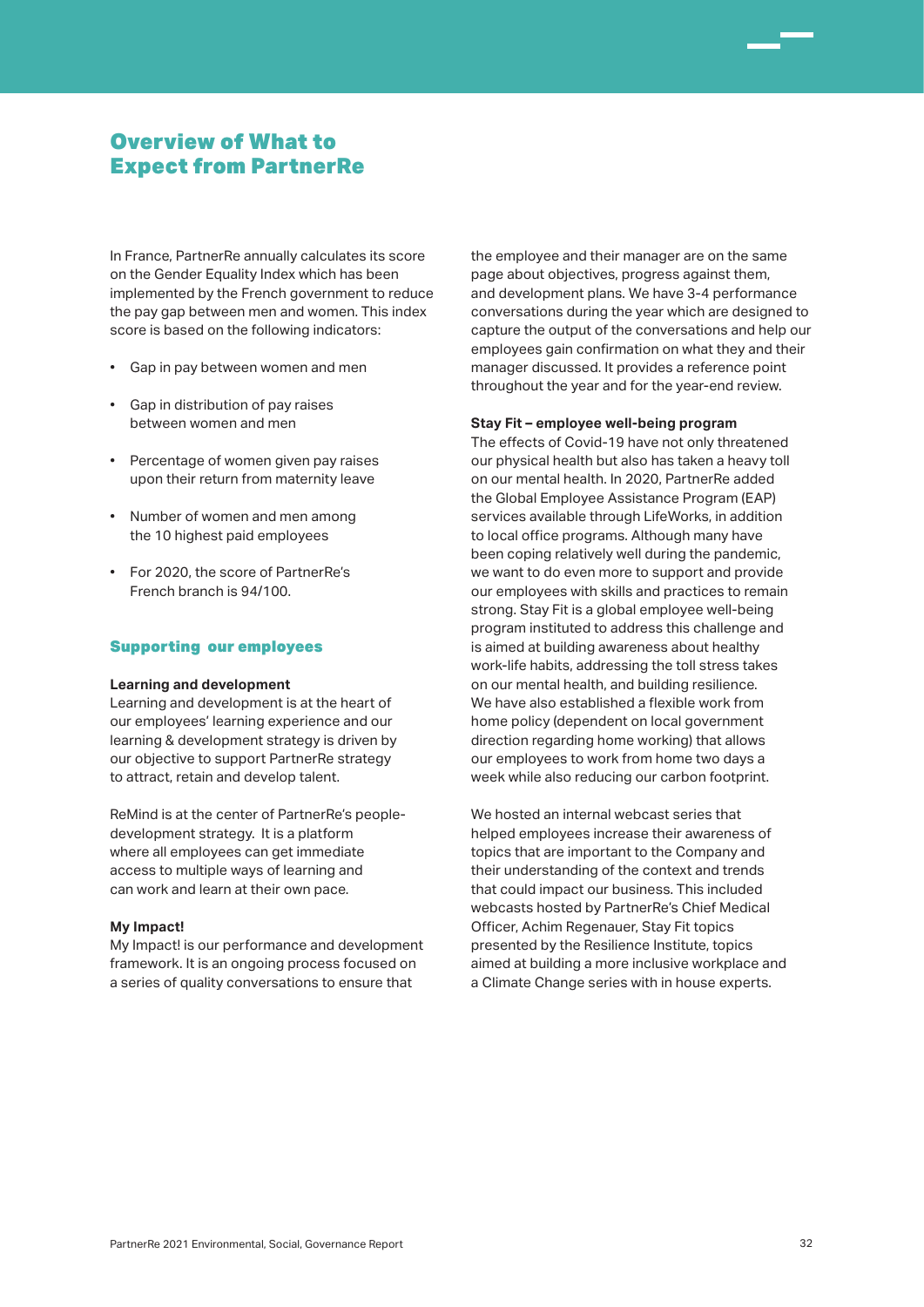# Overview of What to Expect from PartnerRe

In France, PartnerRe annually calculates its score on the Gender Equality Index which has been implemented by the French government to reduce the pay gap between men and women. This index score is based on the following indicators:

- Gap in pay between women and men
- Gap in distribution of pay raises between women and men
- Percentage of women given pay raises upon their return from maternity leave
- Number of women and men among the 10 highest paid employees
- For 2020, the score of PartnerRe's French branch is 94/100.

### Supporting our employees

#### **Learning and development**

Learning and development is at the heart of our employees' learning experience and our learning & development strategy is driven by our objective to support PartnerRe strategy to attract, retain and develop talent.

ReMind is at the center of PartnerRe's peopledevelopment strategy. It is a platform where all employees can get immediate access to multiple ways of learning and can work and learn at their own pace.

### **My Impact!**

My Impact! is our performance and development framework. It is an ongoing process focused on a series of quality conversations to ensure that

the employee and their manager are on the same page about objectives, progress against them, and development plans. We have 3-4 performance conversations during the year which are designed to capture the output of the conversations and help our employees gain confirmation on what they and their manager discussed. It provides a reference point throughout the year and for the year-end review.

### **Stay Fit – employee well-being program**

The effects of Covid-19 have not only threatened our physical health but also has taken a heavy toll on our mental health. In 2020, PartnerRe added the Global Employee Assistance Program (EAP) services available through LifeWorks, in addition to local office programs. Although many have been coping relatively well during the pandemic, we want to do even more to support and provide our employees with skills and practices to remain strong. Stay Fit is a global employee well-being program instituted to address this challenge and is aimed at building awareness about healthy work-life habits, addressing the toll stress takes on our mental health, and building resilience. We have also established a flexible work from home policy (dependent on local government direction regarding home working) that allows our employees to work from home two days a week while also reducing our carbon footprint.

We hosted an internal webcast series that helped employees increase their awareness of topics that are important to the Company and their understanding of the context and trends that could impact our business. This included webcasts hosted by PartnerRe's Chief Medical Officer, Achim Regenauer, Stay Fit topics presented by the Resilience Institute, topics aimed at building a more inclusive workplace and a Climate Change series with in house experts.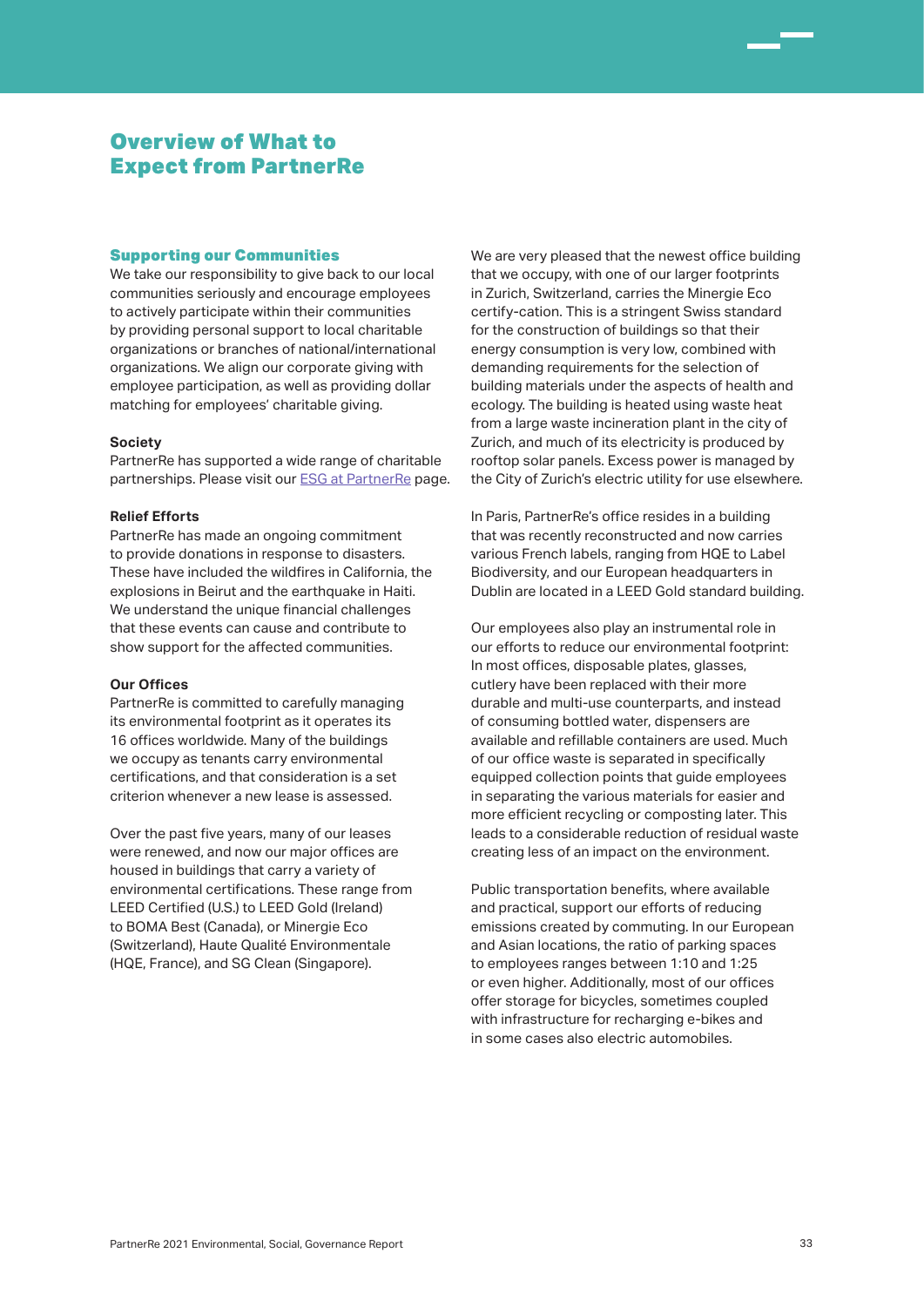# Overview of What to Expect from PartnerRe

### Supporting our Communities

We take our responsibility to give back to our local communities seriously and encourage employees to actively participate within their communities by providing personal support to local charitable organizations or branches of national/international organizations. We align our corporate giving with employee participation, as well as providing dollar matching for employees' charitable giving.

### **Society**

PartnerRe has supported a wide range of charitable partnerships. Please visit our ESG at PartnerRe page.

#### **Relief Efforts**

PartnerRe has made an ongoing commitment to provide donations in response to disasters. These have included the wildfires in California, the explosions in Beirut and the earthquake in Haiti. We understand the unique financial challenges that these events can cause and contribute to show support for the affected communities.

#### **Our Offices**

PartnerRe is committed to carefully managing its environmental footprint as it operates its 16 offices worldwide. Many of the buildings we occupy as tenants carry environmental certifications, and that consideration is a set criterion whenever a new lease is assessed.

Over the past five years, many of our leases were renewed, and now our major offices are housed in buildings that carry a variety of environmental certifications. These range from LEED Certified (U.S.) to LEED Gold (Ireland) to BOMA Best (Canada), or Minergie Eco (Switzerland), Haute Qualité Environmentale (HQE, France), and SG Clean (Singapore).

We are very pleased that the newest office building that we occupy, with one of our larger footprints in Zurich, Switzerland, carries the Minergie Eco certify-cation. This is a stringent Swiss standard for the construction of buildings so that their energy consumption is very low, combined with demanding requirements for the selection of building materials under the aspects of health and ecology. The building is heated using waste heat from a large waste incineration plant in the city of Zurich, and much of its electricity is produced by rooftop solar panels. Excess power is managed by the City of Zurich's electric utility for use elsewhere.

In Paris, PartnerRe's office resides in a building that was recently reconstructed and now carries various French labels, ranging from HQE to Label Biodiversity, and our European headquarters in Dublin are located in a LEED Gold standard building.

Our employees also play an instrumental role in our efforts to reduce our environmental footprint: In most offices, disposable plates, glasses, cutlery have been replaced with their more durable and multi-use counterparts, and instead of consuming bottled water, dispensers are available and refillable containers are used. Much of our office waste is separated in specifically equipped collection points that guide employees in separating the various materials for easier and more efficient recycling or composting later. This leads to a considerable reduction of residual waste creating less of an impact on the environment.

Public transportation benefits, where available and practical, support our efforts of reducing emissions created by commuting. In our European and Asian locations, the ratio of parking spaces to employees ranges between 1:10 and 1:25 or even higher. Additionally, most of our offices offer storage for bicycles, sometimes coupled with infrastructure for recharging e-bikes and in some cases also electric automobiles.